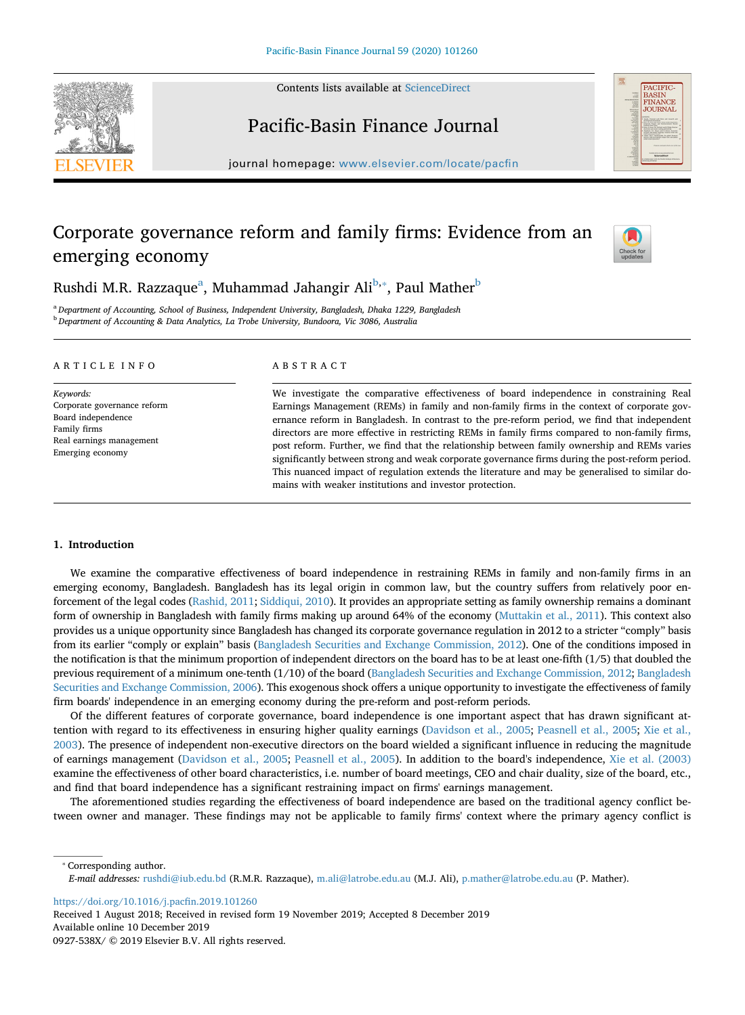Contents lists available at [ScienceDirect](http://www.sciencedirect.com/science/journal/0927538X)





# Pacific-Basin Finance Journal

journal homepage: [www.elsevier.com/locate/pacfin](https://www.elsevier.com/locate/pacfin)

# Corporate governance reform and family firms: Evidence from an emerging economy



Rushdi M.R. R[a](#page-0-0)zzaque<sup>a</sup>, Muhammad Jahangir Ali<sup>b,</sup>\*, Paul Mather<sup>b</sup>

<span id="page-0-1"></span><span id="page-0-0"></span><sup>a</sup> *Department of Accounting, School of Business, Independent University, Bangladesh, Dhaka 1229, Bangladesh* <sup>b</sup> *Department of Accounting & Data Analytics, La Trobe University, Bundoora, Vic 3086, Australia*

# ARTICLE INFO

*Keywords:* Corporate governance reform Board independence Family firms Real earnings management Emerging economy

# ABSTRACT

We investigate the comparative effectiveness of board independence in constraining Real Earnings Management (REMs) in family and non-family firms in the context of corporate governance reform in Bangladesh. In contrast to the pre-reform period, we find that independent directors are more effective in restricting REMs in family firms compared to non-family firms, post reform. Further, we find that the relationship between family ownership and REMs varies significantly between strong and weak corporate governance firms during the post-reform period. This nuanced impact of regulation extends the literature and may be generalised to similar domains with weaker institutions and investor protection.

# **1. Introduction**

We examine the comparative effectiveness of board independence in restraining REMs in family and non-family firms in an emerging economy, Bangladesh. Bangladesh has its legal origin in common law, but the country suffers from relatively poor enforcement of the legal codes ([Rashid, 2011](#page-20-0); [Siddiqui, 2010\)](#page-20-1). It provides an appropriate setting as family ownership remains a dominant form of ownership in Bangladesh with family firms making up around 64% of the economy ([Muttakin et al., 2011\)](#page-20-2). This context also provides us a unique opportunity since Bangladesh has changed its corporate governance regulation in 2012 to a stricter "comply" basis from its earlier "comply or explain" basis [\(Bangladesh Securities and Exchange Commission, 2012](#page-19-0)). One of the conditions imposed in the notification is that the minimum proportion of independent directors on the board has to be at least one-fifth (1/5) that doubled the previous requirement of a minimum one-tenth (1/10) of the board ([Bangladesh Securities and Exchange Commission, 2012;](#page-19-0) [Bangladesh](#page-19-1) [Securities and Exchange Commission, 2006\)](#page-19-1). This exogenous shock offers a unique opportunity to investigate the effectiveness of family firm boards' independence in an emerging economy during the pre-reform and post-reform periods.

Of the different features of corporate governance, board independence is one important aspect that has drawn significant attention with regard to its effectiveness in ensuring higher quality earnings [\(Davidson et al., 2005;](#page-20-3) [Peasnell et al., 2005;](#page-20-4) [Xie et al.,](#page-20-5) [2003\)](#page-20-5). The presence of independent non-executive directors on the board wielded a significant influence in reducing the magnitude of earnings management [\(Davidson et al., 2005](#page-20-3); [Peasnell et al., 2005\)](#page-20-4). In addition to the board's independence, [Xie et al. \(2003\)](#page-20-5) examine the effectiveness of other board characteristics, i.e. number of board meetings, CEO and chair duality, size of the board, etc., and find that board independence has a significant restraining impact on firms' earnings management.

The aforementioned studies regarding the effectiveness of board independence are based on the traditional agency conflict between owner and manager. These findings may not be applicable to family firms' context where the primary agency conflict is

<span id="page-0-2"></span>⁎ Corresponding author. *E-mail addresses:* [rushdi@iub.edu.bd](mailto:rushdi@iub.edu.bd) (R.M.R. Razzaque), [m.ali@latrobe.edu.au](mailto:m.ali@latrobe.edu.au) (M.J. Ali), [p.mather@latrobe.edu.au](mailto:p.mather@latrobe.edu.au) (P. Mather).

<https://doi.org/10.1016/j.pacfin.2019.101260>

Received 1 August 2018; Received in revised form 19 November 2019; Accepted 8 December 2019 Available online 10 December 2019 0927-538X/ © 2019 Elsevier B.V. All rights reserved.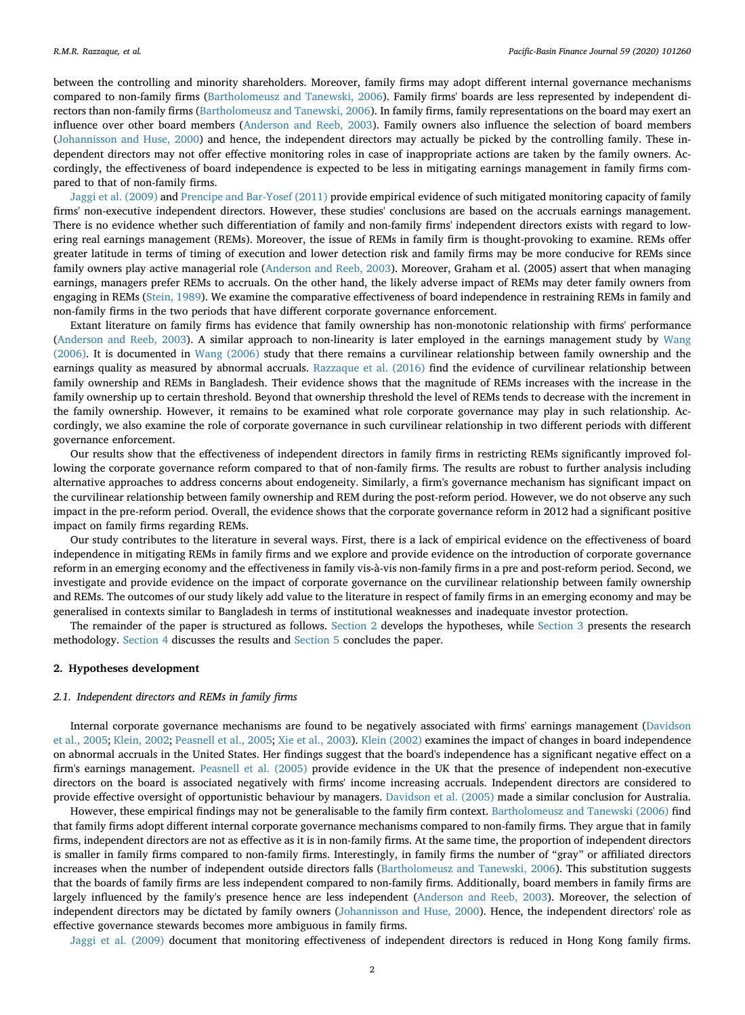between the controlling and minority shareholders. Moreover, family firms may adopt different internal governance mechanisms compared to non-family firms ([Bartholomeusz and Tanewski, 2006\)](#page-19-2). Family firms' boards are less represented by independent directors than non-family firms [\(Bartholomeusz and Tanewski, 2006\)](#page-19-2). In family firms, family representations on the board may exert an influence over other board members [\(Anderson and Reeb, 2003](#page-19-3)). Family owners also influence the selection of board members [\(Johannisson and Huse, 2000\)](#page-20-6) and hence, the independent directors may actually be picked by the controlling family. These independent directors may not offer effective monitoring roles in case of inappropriate actions are taken by the family owners. Accordingly, the effectiveness of board independence is expected to be less in mitigating earnings management in family firms compared to that of non-family firms.

[Jaggi et al. \(2009\)](#page-20-7) and [Prencipe and Bar-Yosef \(2011\)](#page-20-8) provide empirical evidence of such mitigated monitoring capacity of family firms' non-executive independent directors. However, these studies' conclusions are based on the accruals earnings management. There is no evidence whether such differentiation of family and non-family firms' independent directors exists with regard to lowering real earnings management (REMs). Moreover, the issue of REMs in family firm is thought-provoking to examine. REMs offer greater latitude in terms of timing of execution and lower detection risk and family firms may be more conducive for REMs since family owners play active managerial role [\(Anderson and Reeb, 2003\)](#page-19-3). Moreover, Graham et al. (2005) assert that when managing earnings, managers prefer REMs to accruals. On the other hand, the likely adverse impact of REMs may deter family owners from engaging in REMs [\(Stein, 1989\)](#page-20-9). We examine the comparative effectiveness of board independence in restraining REMs in family and non-family firms in the two periods that have different corporate governance enforcement.

Extant literature on family firms has evidence that family ownership has non-monotonic relationship with firms' performance [\(Anderson and Reeb, 2003](#page-19-3)). A similar approach to non-linearity is later employed in the earnings management study by [Wang](#page-20-10) [\(2006\).](#page-20-10) It is documented in [Wang \(2006\)](#page-20-10) study that there remains a curvilinear relationship between family ownership and the earnings quality as measured by abnormal accruals. [Razzaque et al. \(2016\)](#page-20-11) find the evidence of curvilinear relationship between family ownership and REMs in Bangladesh. Their evidence shows that the magnitude of REMs increases with the increase in the family ownership up to certain threshold. Beyond that ownership threshold the level of REMs tends to decrease with the increment in the family ownership. However, it remains to be examined what role corporate governance may play in such relationship. Accordingly, we also examine the role of corporate governance in such curvilinear relationship in two different periods with different governance enforcement.

Our results show that the effectiveness of independent directors in family firms in restricting REMs significantly improved following the corporate governance reform compared to that of non-family firms. The results are robust to further analysis including alternative approaches to address concerns about endogeneity. Similarly, a firm's governance mechanism has significant impact on the curvilinear relationship between family ownership and REM during the post-reform period. However, we do not observe any such impact in the pre-reform period. Overall, the evidence shows that the corporate governance reform in 2012 had a significant positive impact on family firms regarding REMs.

Our study contributes to the literature in several ways. First, there is a lack of empirical evidence on the effectiveness of board independence in mitigating REMs in family firms and we explore and provide evidence on the introduction of corporate governance reform in an emerging economy and the effectiveness in family vis-à-vis non-family firms in a pre and post-reform period. Second, we investigate and provide evidence on the impact of corporate governance on the curvilinear relationship between family ownership and REMs. The outcomes of our study likely add value to the literature in respect of family firms in an emerging economy and may be generalised in contexts similar to Bangladesh in terms of institutional weaknesses and inadequate investor protection.

The remainder of the paper is structured as follows. [Section 2](#page-1-0) develops the hypotheses, while [Section 3](#page-2-0) presents the research methodology. [Section 4](#page-6-0) discusses the results and [Section 5](#page-17-0) concludes the paper.

#### <span id="page-1-0"></span>**2. Hypotheses development**

#### *2.1. Independent directors and REMs in family firms*

Internal corporate governance mechanisms are found to be negatively associated with firms' earnings management [\(Davidson](#page-20-3) [et al., 2005;](#page-20-3) [Klein, 2002;](#page-20-12) [Peasnell et al., 2005](#page-20-4); [Xie et al., 2003\)](#page-20-5). [Klein \(2002\)](#page-20-12) examines the impact of changes in board independence on abnormal accruals in the United States. Her findings suggest that the board's independence has a significant negative effect on a firm's earnings management. [Peasnell et al. \(2005\)](#page-20-4) provide evidence in the UK that the presence of independent non-executive directors on the board is associated negatively with firms' income increasing accruals. Independent directors are considered to provide effective oversight of opportunistic behaviour by managers. [Davidson et al. \(2005\)](#page-20-3) made a similar conclusion for Australia.

However, these empirical findings may not be generalisable to the family firm context. [Bartholomeusz and Tanewski \(2006\)](#page-19-2) find that family firms adopt different internal corporate governance mechanisms compared to non-family firms. They argue that in family firms, independent directors are not as effective as it is in non-family firms. At the same time, the proportion of independent directors is smaller in family firms compared to non-family firms. Interestingly, in family firms the number of "gray" or affiliated directors increases when the number of independent outside directors falls ([Bartholomeusz and Tanewski, 2006](#page-19-2)). This substitution suggests that the boards of family firms are less independent compared to non-family firms. Additionally, board members in family firms are largely influenced by the family's presence hence are less independent [\(Anderson and Reeb, 2003](#page-19-3)). Moreover, the selection of independent directors may be dictated by family owners ([Johannisson and Huse, 2000](#page-20-6)). Hence, the independent directors' role as effective governance stewards becomes more ambiguous in family firms.

[Jaggi et al. \(2009\)](#page-20-7) document that monitoring effectiveness of independent directors is reduced in Hong Kong family firms.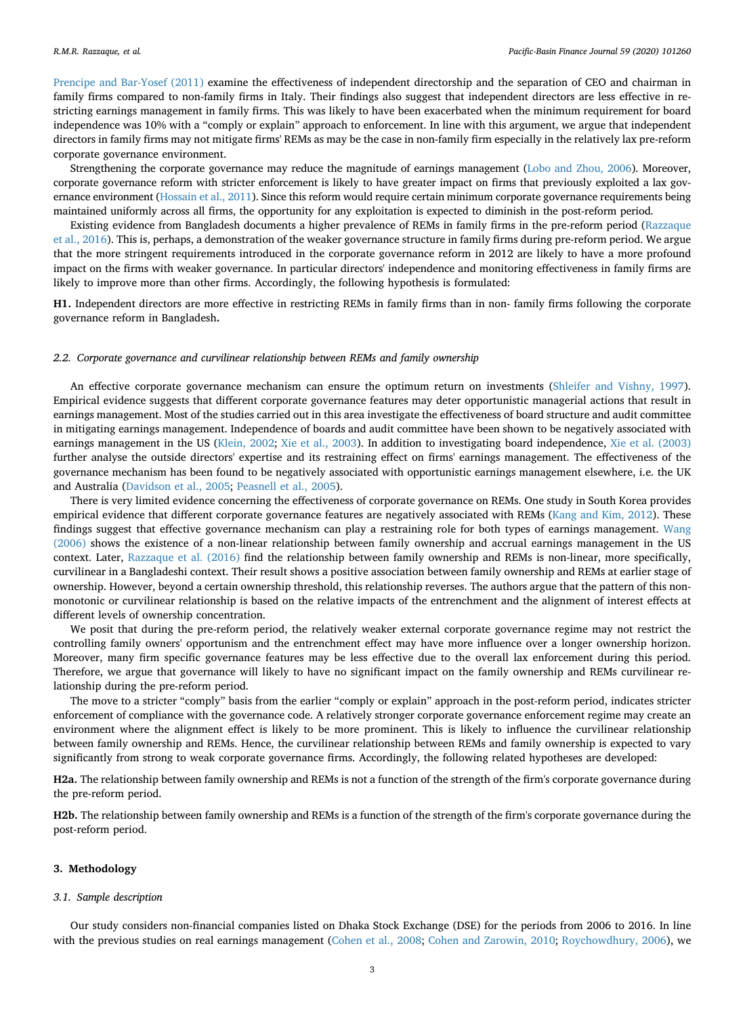[Prencipe and Bar-Yosef \(2011\)](#page-20-8) examine the effectiveness of independent directorship and the separation of CEO and chairman in family firms compared to non-family firms in Italy. Their findings also suggest that independent directors are less effective in restricting earnings management in family firms. This was likely to have been exacerbated when the minimum requirement for board independence was 10% with a "comply or explain" approach to enforcement. In line with this argument, we argue that independent directors in family firms may not mitigate firms' REMs as may be the case in non-family firm especially in the relatively lax pre-reform corporate governance environment.

Strengthening the corporate governance may reduce the magnitude of earnings management [\(Lobo and Zhou, 2006\)](#page-20-13). Moreover, corporate governance reform with stricter enforcement is likely to have greater impact on firms that previously exploited a lax gov-ernance environment ([Hossain et al., 2011](#page-20-14)). Since this reform would require certain minimum corporate governance requirements being maintained uniformly across all firms, the opportunity for any exploitation is expected to diminish in the post-reform period.

Existing evidence from Bangladesh documents a higher prevalence of REMs in family firms in the pre-reform period ([Razzaque](#page-20-11) [et al., 2016](#page-20-11)). This is, perhaps, a demonstration of the weaker governance structure in family firms during pre-reform period. We argue that the more stringent requirements introduced in the corporate governance reform in 2012 are likely to have a more profound impact on the firms with weaker governance. In particular directors' independence and monitoring effectiveness in family firms are likely to improve more than other firms. Accordingly, the following hypothesis is formulated:

<span id="page-2-1"></span>**H1.** Independent directors are more effective in restricting REMs in family firms than in non- family firms following the corporate governance reform in Bangladesh**.**

#### *2.2. Corporate governance and curvilinear relationship between REMs and family ownership*

An effective corporate governance mechanism can ensure the optimum return on investments [\(Shleifer and Vishny, 1997](#page-20-15)). Empirical evidence suggests that different corporate governance features may deter opportunistic managerial actions that result in earnings management. Most of the studies carried out in this area investigate the effectiveness of board structure and audit committee in mitigating earnings management. Independence of boards and audit committee have been shown to be negatively associated with earnings management in the US [\(Klein, 2002;](#page-20-12) [Xie et al., 2003\)](#page-20-5). In addition to investigating board independence, [Xie et al. \(2003\)](#page-20-5) further analyse the outside directors' expertise and its restraining effect on firms' earnings management. The effectiveness of the governance mechanism has been found to be negatively associated with opportunistic earnings management elsewhere, i.e. the UK and Australia [\(Davidson et al., 2005](#page-20-3); [Peasnell et al., 2005\)](#page-20-4).

There is very limited evidence concerning the effectiveness of corporate governance on REMs. One study in South Korea provides empirical evidence that different corporate governance features are negatively associated with REMs ([Kang and Kim, 2012](#page-20-16)). These findings suggest that effective governance mechanism can play a restraining role for both types of earnings management. [Wang](#page-20-10) [\(2006\)](#page-20-10) shows the existence of a non-linear relationship between family ownership and accrual earnings management in the US context. Later, [Razzaque et al. \(2016\)](#page-20-11) find the relationship between family ownership and REMs is non-linear, more specifically, curvilinear in a Bangladeshi context. Their result shows a positive association between family ownership and REMs at earlier stage of ownership. However, beyond a certain ownership threshold, this relationship reverses. The authors argue that the pattern of this nonmonotonic or curvilinear relationship is based on the relative impacts of the entrenchment and the alignment of interest effects at different levels of ownership concentration.

We posit that during the pre-reform period, the relatively weaker external corporate governance regime may not restrict the controlling family owners' opportunism and the entrenchment effect may have more influence over a longer ownership horizon. Moreover, many firm specific governance features may be less effective due to the overall lax enforcement during this period. Therefore, we argue that governance will likely to have no significant impact on the family ownership and REMs curvilinear relationship during the pre-reform period.

The move to a stricter "comply" basis from the earlier "comply or explain" approach in the post-reform period, indicates stricter enforcement of compliance with the governance code. A relatively stronger corporate governance enforcement regime may create an environment where the alignment effect is likely to be more prominent. This is likely to influence the curvilinear relationship between family ownership and REMs. Hence, the curvilinear relationship between REMs and family ownership is expected to vary significantly from strong to weak corporate governance firms. Accordingly, the following related hypotheses are developed:

**H2a.** The relationship between family ownership and REMs is not a function of the strength of the firm's corporate governance during the pre-reform period.

**H2b.** The relationship between family ownership and REMs is a function of the strength of the firm's corporate governance during the post-reform period.

#### <span id="page-2-0"></span>**3. Methodology**

#### *3.1. Sample description*

Our study considers non-financial companies listed on Dhaka Stock Exchange (DSE) for the periods from 2006 to 2016. In line with the previous studies on real earnings management [\(Cohen et al., 2008](#page-19-4); [Cohen and Zarowin, 2010;](#page-19-5) [Roychowdhury, 2006](#page-20-17)), we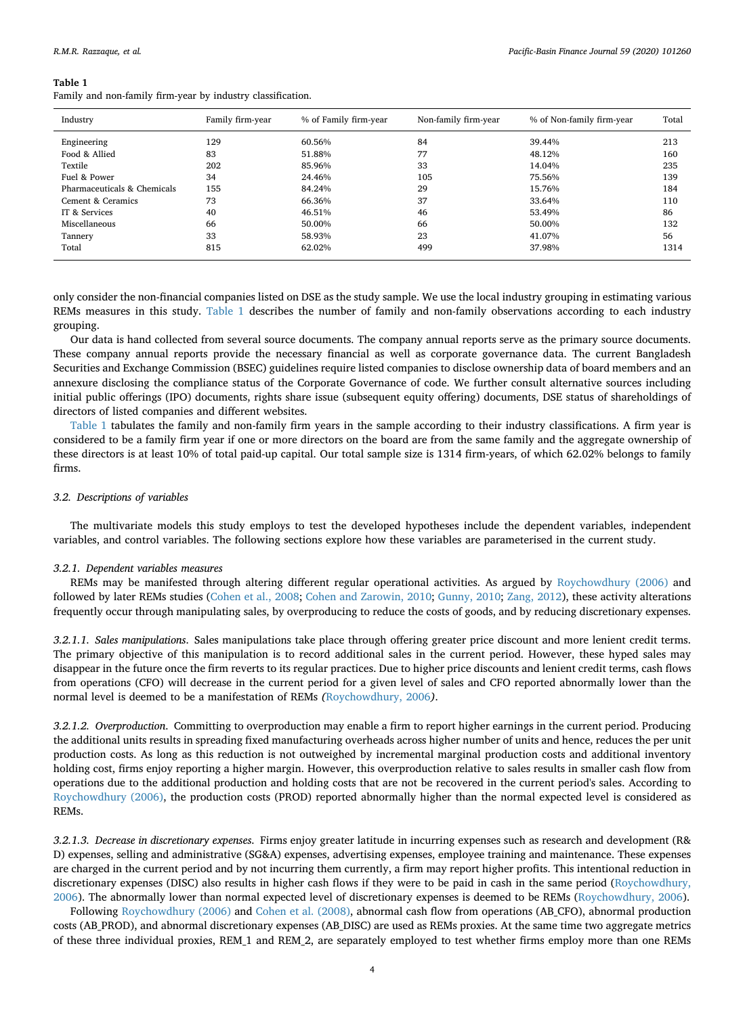<span id="page-3-0"></span>Family and non-family firm-year by industry classification.

| Industry                    | Family firm-year | % of Family firm-year | Non-family firm-year | % of Non-family firm-year | Total |
|-----------------------------|------------------|-----------------------|----------------------|---------------------------|-------|
| Engineering                 | 129              | 60.56%                | 84                   | 39.44%                    | 213   |
| Food & Allied               | 83               | 51.88%                | 77                   | 48.12%                    | 160   |
| Textile                     | 202              | 85.96%                | 33                   | 14.04%                    | 235   |
| Fuel & Power                | 34               | 24.46%                | 105                  | 75.56%                    | 139   |
| Pharmaceuticals & Chemicals | 155              | 84.24%                | 29                   | 15.76%                    | 184   |
| Cement & Ceramics           | 73               | 66.36%                | 37                   | 33.64%                    | 110   |
| IT & Services               | 40               | 46.51%                | 46                   | 53.49%                    | 86    |
| Miscellaneous               | 66               | 50.00%                | 66                   | 50.00%                    | 132   |
| Tannery                     | 33               | 58.93%                | 23                   | 41.07%                    | 56    |
| Total                       | 815              | 62.02%                | 499                  | 37.98%                    | 1314  |

only consider the non-financial companies listed on DSE as the study sample. We use the local industry grouping in estimating various REMs measures in this study. [Table 1](#page-3-0) describes the number of family and non-family observations according to each industry grouping.

Our data is hand collected from several source documents. The company annual reports serve as the primary source documents. These company annual reports provide the necessary financial as well as corporate governance data. The current Bangladesh Securities and Exchange Commission (BSEC) guidelines require listed companies to disclose ownership data of board members and an annexure disclosing the compliance status of the Corporate Governance of code. We further consult alternative sources including initial public offerings (IPO) documents, rights share issue (subsequent equity offering) documents, DSE status of shareholdings of directors of listed companies and different websites.

[Table 1](#page-3-0) tabulates the family and non-family firm years in the sample according to their industry classifications. A firm year is considered to be a family firm year if one or more directors on the board are from the same family and the aggregate ownership of these directors is at least 10% of total paid-up capital. Our total sample size is 1314 firm-years, of which 62.02% belongs to family firms.

# *3.2. Descriptions of variables*

The multivariate models this study employs to test the developed hypotheses include the dependent variables, independent variables, and control variables. The following sections explore how these variables are parameterised in the current study.

# *3.2.1. Dependent variables measures*

REMs may be manifested through altering different regular operational activities. As argued by [Roychowdhury \(2006\)](#page-20-17) and followed by later REMs studies ([Cohen et al., 2008;](#page-19-4) [Cohen and Zarowin, 2010;](#page-19-5) [Gunny, 2010](#page-20-18); [Zang, 2012\)](#page-20-19), these activity alterations frequently occur through manipulating sales, by overproducing to reduce the costs of goods, and by reducing discretionary expenses.

*3.2.1.1. Sales manipulations*. Sales manipulations take place through offering greater price discount and more lenient credit terms. The primary objective of this manipulation is to record additional sales in the current period. However, these hyped sales may disappear in the future once the firm reverts to its regular practices. Due to higher price discounts and lenient credit terms, cash flows from operations (CFO) will decrease in the current period for a given level of sales and CFO reported abnormally lower than the normal level is deemed to be a manifestation of REMs *(*[Roychowdhury, 2006](#page-20-17)*)*.

*3.2.1.2. Overproduction*. Committing to overproduction may enable a firm to report higher earnings in the current period. Producing the additional units results in spreading fixed manufacturing overheads across higher number of units and hence, reduces the per unit production costs. As long as this reduction is not outweighed by incremental marginal production costs and additional inventory holding cost, firms enjoy reporting a higher margin. However, this overproduction relative to sales results in smaller cash flow from operations due to the additional production and holding costs that are not be recovered in the current period's sales. According to [Roychowdhury \(2006\),](#page-20-17) the production costs (PROD) reported abnormally higher than the normal expected level is considered as REMs.

*3.2.1.3. Decrease in discretionary expenses*. Firms enjoy greater latitude in incurring expenses such as research and development (R& D) expenses, selling and administrative (SG&A) expenses, advertising expenses, employee training and maintenance. These expenses are charged in the current period and by not incurring them currently, a firm may report higher profits. This intentional reduction in discretionary expenses (DISC) also results in higher cash flows if they were to be paid in cash in the same period [\(Roychowdhury,](#page-20-17) [2006\)](#page-20-17). The abnormally lower than normal expected level of discretionary expenses is deemed to be REMs ([Roychowdhury, 2006](#page-20-17)).

Following [Roychowdhury \(2006\)](#page-20-17) and [Cohen et al. \(2008\)](#page-19-4), abnormal cash flow from operations (AB\_CFO), abnormal production costs (AB\_PROD), and abnormal discretionary expenses (AB\_DISC) are used as REMs proxies. At the same time two aggregate metrics of these three individual proxies, REM\_1 and REM\_2, are separately employed to test whether firms employ more than one REMs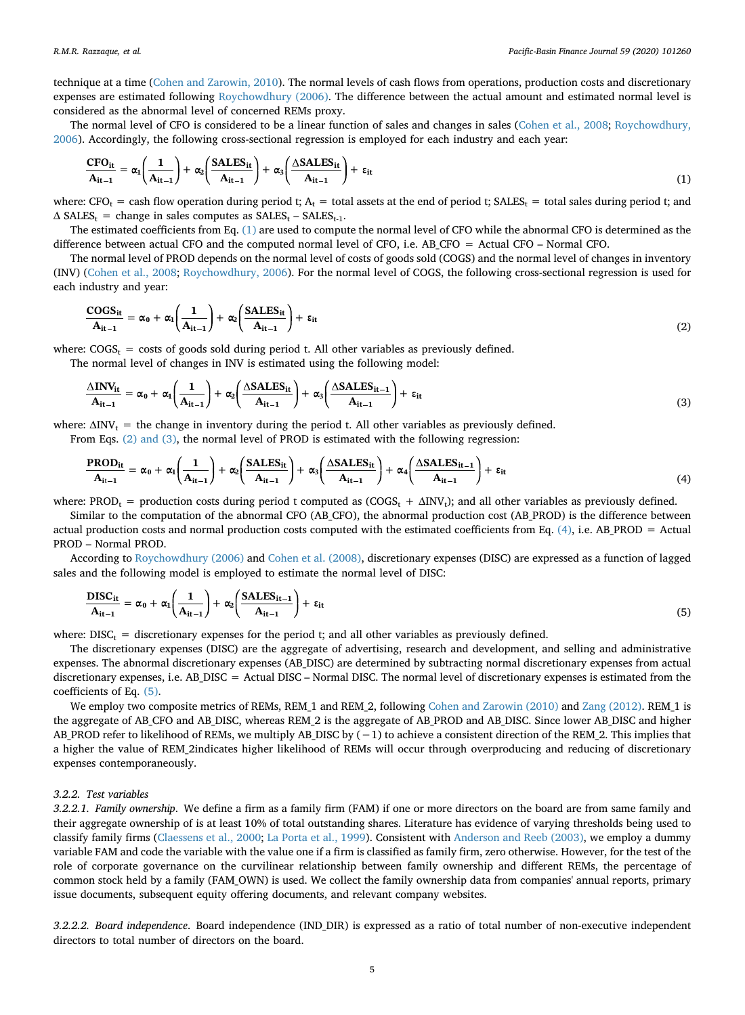technique at a time ([Cohen and Zarowin, 2010](#page-19-5)). The normal levels of cash flows from operations, production costs and discretionary expenses are estimated following [Roychowdhury \(2006\)](#page-20-17). The difference between the actual amount and estimated normal level is considered as the abnormal level of concerned REMs proxy.

<span id="page-4-0"></span>The normal level of CFO is considered to be a linear function of sales and changes in sales [\(Cohen et al., 2008;](#page-19-4) [Roychowdhury,](#page-20-17) [2006\)](#page-20-17). Accordingly, the following cross-sectional regression is employed for each industry and each year:

$$
\frac{\text{CFO}_{it}}{A_{it-1}} = \alpha_1 \left( \frac{1}{A_{it-1}} \right) + \alpha_2 \left( \frac{\text{SALES}_{it}}{A_{it-1}} \right) + \alpha_3 \left( \frac{\Delta \text{SALES}_{it}}{A_{it-1}} \right) + \epsilon_{it}
$$
\n(1)

where: CFO<sub>t</sub> = cash flow operation during period t;  $A_t$  = total assets at the end of period t; SALES<sub>t</sub> = total sales during period t; and  $\Delta$  SALES<sub>t</sub> = change in sales computes as SALES<sub>t</sub> – SALES<sub>t-1</sub>.

The estimated coefficients from Eq. [\(1\)](#page-4-0) are used to compute the normal level of CFO while the abnormal CFO is determined as the difference between actual CFO and the computed normal level of CFO, i.e. AB\_CFO = Actual CFO – Normal CFO.

<span id="page-4-1"></span>The normal level of PROD depends on the normal level of costs of goods sold (COGS) and the normal level of changes in inventory (INV) [\(Cohen et al., 2008](#page-19-4); [Roychowdhury, 2006](#page-20-17)). For the normal level of COGS, the following cross-sectional regression is used for each industry and year:

$$
\frac{\text{COGS}_{it}}{A_{it-1}} = \alpha_0 + \alpha_1 \left(\frac{1}{A_{it-1}}\right) + \alpha_2 \left(\frac{\text{SALES}_{it}}{A_{it-1}}\right) + \epsilon_{it}
$$
\n(2)

where:  $COGS_t$  = costs of goods sold during period t. All other variables as previously defined.

The normal level of changes in INV is estimated using the following model:

$$
\frac{\Delta INV_{it}}{A_{it-1}} = \alpha_0 + \alpha_1 \left(\frac{1}{A_{it-1}}\right) + \alpha_2 \left(\frac{\Delta SALES_{it}}{A_{it-1}}\right) + \alpha_3 \left(\frac{\Delta SALES_{it-1}}{A_{it-1}}\right) + \epsilon_{it}
$$
\n(3)

<span id="page-4-2"></span>where:  $\Delta \text{INV}_t =$  the change in inventory during the period t. All other variables as previously defined.

From Eqs. [\(2\) and \(3\)](#page-4-1), the normal level of PROD is estimated with the following regression:

$$
\frac{\text{PROD}_{it}}{A_{it-1}} = \alpha_0 + \alpha_1 \left(\frac{1}{A_{it-1}}\right) + \alpha_2 \left(\frac{\text{SALES}_{it}}{A_{it-1}}\right) + \alpha_3 \left(\frac{\Delta \text{SALES}_{it}}{A_{it-1}}\right) + \alpha_4 \left(\frac{\Delta \text{SALES}_{it-1}}{A_{it-1}}\right) + \epsilon_{it}
$$
\n(4)

where: PROD<sub>t</sub> = production costs during period t computed as  $(COGS_t + \Delta INV_t)$ ; and all other variables as previously defined.

Similar to the computation of the abnormal CFO (AB\_CFO), the abnormal production cost (AB\_PROD) is the difference between actual production costs and normal production costs computed with the estimated coefficients from Eq.  $(4)$ , i.e. AB\_PROD = Actual PROD – Normal PROD.

<span id="page-4-3"></span>According to [Roychowdhury \(2006\)](#page-20-17) and [Cohen et al. \(2008\)](#page-19-4), discretionary expenses (DISC) are expressed as a function of lagged sales and the following model is employed to estimate the normal level of DISC:

$$
\frac{\text{DISC}_{it}}{A_{it-1}} = \alpha_0 + \alpha_1 \left( \frac{1}{A_{it-1}} \right) + \alpha_2 \left( \frac{\text{SALES}_{it-1}}{A_{it-1}} \right) + \epsilon_{it} \tag{5}
$$

where:  $DISC_t$  = discretionary expenses for the period t; and all other variables as previously defined.

The discretionary expenses (DISC) are the aggregate of advertising, research and development, and selling and administrative expenses. The abnormal discretionary expenses (AB\_DISC) are determined by subtracting normal discretionary expenses from actual discretionary expenses, i.e. AB\_DISC = Actual DISC – Normal DISC. The normal level of discretionary expenses is estimated from the coefficients of Eq. [\(5\).](#page-4-3)

We employ two composite metrics of REMs, REM\_1 and REM\_2, following [Cohen and Zarowin \(2010\)](#page-19-5) and [Zang \(2012\)](#page-20-19). REM\_1 is the aggregate of AB\_CFO and AB\_DISC, whereas REM\_2 is the aggregate of AB\_PROD and AB\_DISC. Since lower AB\_DISC and higher AB\_PROD refer to likelihood of REMs, we multiply AB\_DISC by (−1) to achieve a consistent direction of the REM\_2. This implies that a higher the value of REM\_2indicates higher likelihood of REMs will occur through overproducing and reducing of discretionary expenses contemporaneously.

### *3.2.2. Test variables*

*3.2.2.1. Family ownership*. We define a firm as a family firm (FAM) if one or more directors on the board are from same family and their aggregate ownership of is at least 10% of total outstanding shares. Literature has evidence of varying thresholds being used to classify family firms [\(Claessens et al., 2000;](#page-19-6) [La Porta et al., 1999](#page-20-20)). Consistent with [Anderson and Reeb \(2003\),](#page-19-3) we employ a dummy variable FAM and code the variable with the value one if a firm is classified as family firm, zero otherwise. However, for the test of the role of corporate governance on the curvilinear relationship between family ownership and different REMs, the percentage of common stock held by a family (FAM\_OWN) is used. We collect the family ownership data from companies' annual reports, primary issue documents, subsequent equity offering documents, and relevant company websites.

*3.2.2.2. Board independence*. Board independence (IND\_DIR) is expressed as a ratio of total number of non-executive independent directors to total number of directors on the board.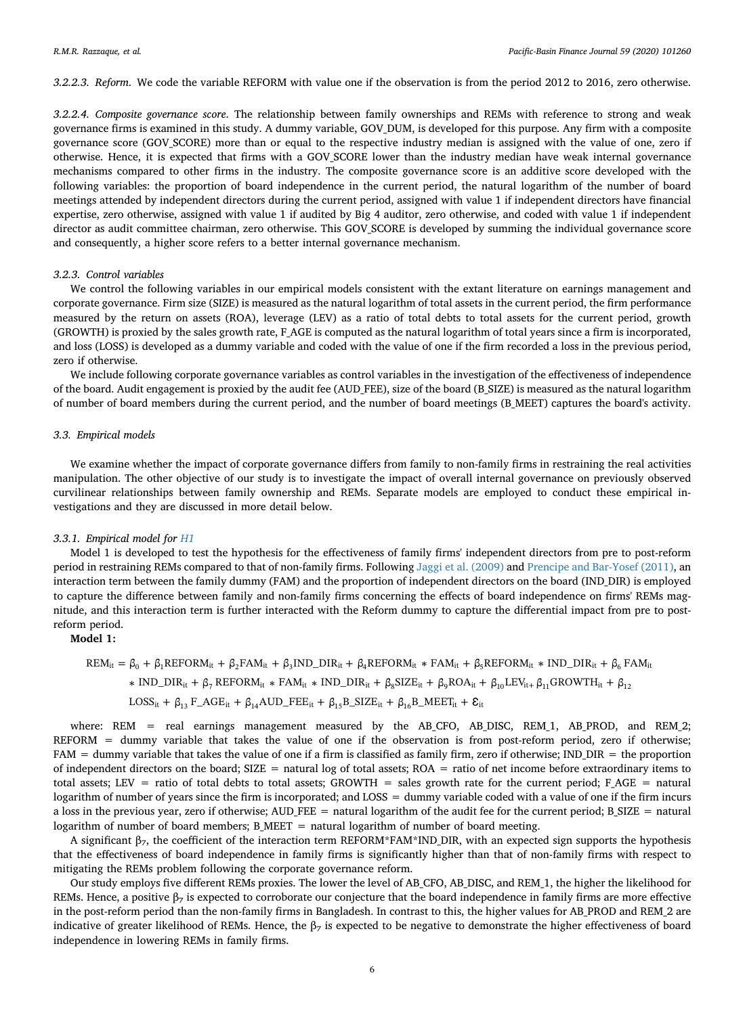*3.2.2.3. Reform*. We code the variable REFORM with value one if the observation is from the period 2012 to 2016, zero otherwise.

*3.2.2.4. Composite governance score*. The relationship between family ownerships and REMs with reference to strong and weak governance firms is examined in this study. A dummy variable, GOV\_DUM, is developed for this purpose. Any firm with a composite governance score (GOV\_SCORE) more than or equal to the respective industry median is assigned with the value of one, zero if otherwise. Hence, it is expected that firms with a GOV\_SCORE lower than the industry median have weak internal governance mechanisms compared to other firms in the industry. The composite governance score is an additive score developed with the following variables: the proportion of board independence in the current period, the natural logarithm of the number of board meetings attended by independent directors during the current period, assigned with value 1 if independent directors have financial expertise, zero otherwise, assigned with value 1 if audited by Big 4 auditor, zero otherwise, and coded with value 1 if independent director as audit committee chairman, zero otherwise. This GOV\_SCORE is developed by summing the individual governance score and consequently, a higher score refers to a better internal governance mechanism.

#### *3.2.3. Control variables*

We control the following variables in our empirical models consistent with the extant literature on earnings management and corporate governance. Firm size (SIZE) is measured as the natural logarithm of total assets in the current period, the firm performance measured by the return on assets (ROA), leverage (LEV) as a ratio of total debts to total assets for the current period, growth (GROWTH) is proxied by the sales growth rate, F\_AGE is computed as the natural logarithm of total years since a firm is incorporated, and loss (LOSS) is developed as a dummy variable and coded with the value of one if the firm recorded a loss in the previous period, zero if otherwise.

We include following corporate governance variables as control variables in the investigation of the effectiveness of independence of the board. Audit engagement is proxied by the audit fee (AUD\_FEE), size of the board (B\_SIZE) is measured as the natural logarithm of number of board members during the current period, and the number of board meetings (B\_MEET) captures the board's activity.

#### *3.3. Empirical models*

We examine whether the impact of corporate governance differs from family to non-family firms in restraining the real activities manipulation. The other objective of our study is to investigate the impact of overall internal governance on previously observed curvilinear relationships between family ownership and REMs. Separate models are employed to conduct these empirical investigations and they are discussed in more detail below.

# *3.3.1. Empirical model for [H1](#page-2-1)*

Model 1 is developed to test the hypothesis for the effectiveness of family firms' independent directors from pre to post-reform period in restraining REMs compared to that of non-family firms. Following [Jaggi et al. \(2009\)](#page-20-7) and [Prencipe and Bar-Yosef \(2011\)](#page-20-8), an interaction term between the family dummy (FAM) and the proportion of independent directors on the board (IND\_DIR) is employed to capture the difference between family and non-family firms concerning the effects of board independence on firms' REMs magnitude, and this interaction term is further interacted with the Reform dummy to capture the differential impact from pre to postreform period.

**Model 1:**

$$
\begin{aligned} \text{REM}_{it} = \beta_0 + \beta_1 \text{REFORM}_{it} + \beta_2 \text{FAM}_{it} + \beta_3 \text{IND\_DIR}_{it} + \beta_4 \text{REFORM}_{it} * \text{FAM}_{it} + \beta_5 \text{REFORM}_{it} * \text{IND\_DIR}_{it} + \beta_6 \text{FAM}_{it} \\ \hspace{20mm} \ast \text{ IND\_DIR}_{it} + \beta_7 \text{REFORM}_{it} * \text{FAM}_{it} * \text{IND\_DIR}_{it} + \beta_8 \text{SIZE}_{it} + \beta_9 \text{ROA}_{it} + \beta_{10} \text{LEV}_{it} + \beta_{11} \text{GROWTH}_{it} + \beta_{12} \\ \text{LOSS}_{it} + \beta_{13} \text{F\_AGE}_{it} + \beta_{14} \text{AUD\_FEE}_{it} + \beta_{15} \text{B\_SIZE}_{it} + \beta_{16} \text{B\_MEET}_{it} + \mathcal{E}_{it} \end{aligned}
$$

where: REM = real earnings management measured by the AB\_CFO, AB\_DISC, REM\_1, AB\_PROD, and REM\_2; REFORM = dummy variable that takes the value of one if the observation is from post-reform period, zero if otherwise;  $FAM =$  dummy variable that takes the value of one if a firm is classified as family firm, zero if otherwise; IND DIR = the proportion of independent directors on the board; SIZE = natural log of total assets; ROA = ratio of net income before extraordinary items to total assets; LEV = ratio of total debts to total assets; GROWTH = sales growth rate for the current period; F\_AGE = natural logarithm of number of years since the firm is incorporated; and LOSS = dummy variable coded with a value of one if the firm incurs a loss in the previous year, zero if otherwise; AUD\_FEE = natural logarithm of the audit fee for the current period; B\_SIZE = natural logarithm of number of board members; B\_MEET = natural logarithm of number of board meeting.

A significant  $β_7$ , the coefficient of the interaction term REFORM\*FAM\*IND\_DIR, with an expected sign supports the hypothesis that the effectiveness of board independence in family firms is significantly higher than that of non-family firms with respect to mitigating the REMs problem following the corporate governance reform.

Our study employs five different REMs proxies. The lower the level of AB\_CFO, AB\_DISC, and REM\_1, the higher the likelihood for REMs. Hence, a positive  $\beta_7$  is expected to corroborate our conjecture that the board independence in family firms are more effective in the post-reform period than the non-family firms in Bangladesh. In contrast to this, the higher values for AB\_PROD and REM\_2 are indicative of greater likelihood of REMs. Hence, the  $\beta_7$  is expected to be negative to demonstrate the higher effectiveness of board independence in lowering REMs in family firms.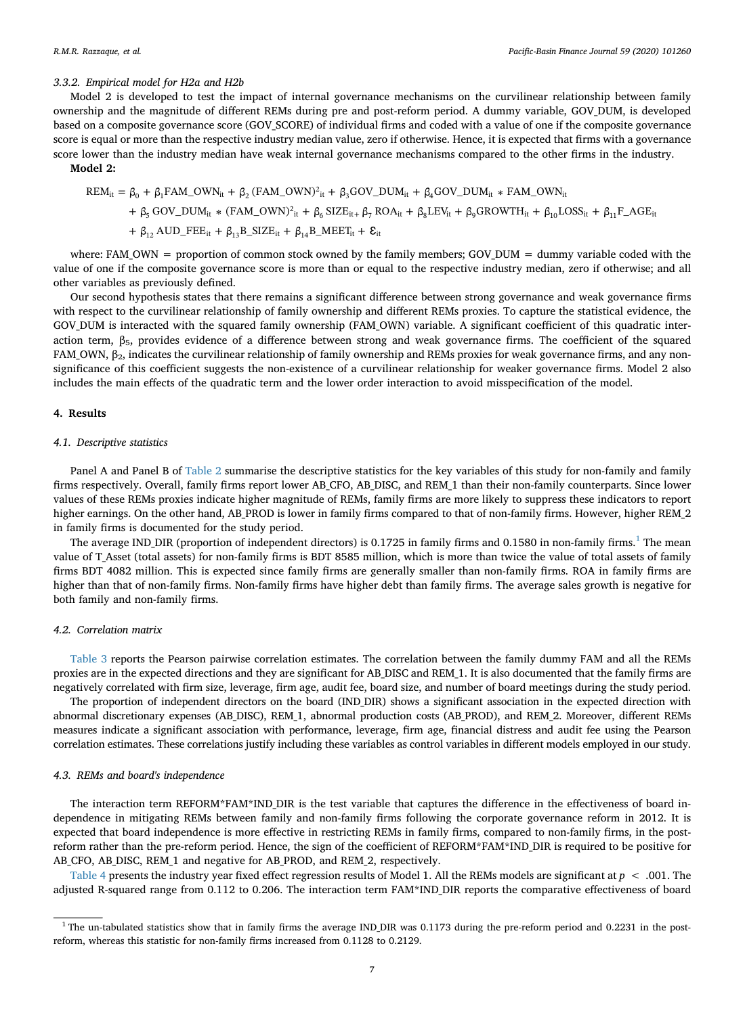# *3.3.2. Empirical model for H2a and H2b*

Model 2 is developed to test the impact of internal governance mechanisms on the curvilinear relationship between family ownership and the magnitude of different REMs during pre and post-reform period. A dummy variable, GOV\_DUM, is developed based on a composite governance score (GOV\_SCORE) of individual firms and coded with a value of one if the composite governance score is equal or more than the respective industry median value, zero if otherwise. Hence, it is expected that firms with a governance score lower than the industry median have weak internal governance mechanisms compared to the other firms in the industry. **Model 2:**

$$
\begin{aligned} \text{REM}_{it} &= \beta_0 + \beta_1 \text{FAM\_OWN}_{it} + \beta_2 \, (\text{FAM\_OWN})^2_{it} + \beta_3 \text{GOV\_DUM}_{it} + \beta_4 \text{GOV\_DUM}_{it} \, \ast \, \text{FAM\_OWN}_{it} \\ &+ \beta_5 \, \text{GOV\_DUM}_{it} \, \ast \, (\text{FAM\_OWN})^2_{it} + \beta_6 \, \text{SIZE}_{it+} \, \beta_7 \, \text{ROA}_{it} + \beta_8 \text{LEV}_{it} + \beta_9 \text{GROWTH}_{it} + \beta_{10} \text{LOSS}_{it} + \beta_{11} \text{F\_AGE}_{it} \\ &+ \beta_{12} \, \text{AUD\_FEE}_{it} + \beta_{13} \text{B\_SIZE}_{it} + \beta_{14} \text{B\_MEET}_{it} + \mathcal{E}_{it} \end{aligned}
$$

where: FAM\_OWN = proportion of common stock owned by the family members; GOV\_DUM = dummy variable coded with the value of one if the composite governance score is more than or equal to the respective industry median, zero if otherwise; and all other variables as previously defined.

Our second hypothesis states that there remains a significant difference between strong governance and weak governance firms with respect to the curvilinear relationship of family ownership and different REMs proxies. To capture the statistical evidence, the GOV\_DUM is interacted with the squared family ownership (FAM\_OWN) variable. A significant coefficient of this quadratic interaction term,  $β_5$ , provides evidence of a difference between strong and weak governance firms. The coefficient of the squared FAM\_OWN,  $β_2$ , indicates the curvilinear relationship of family ownership and REMs proxies for weak governance firms, and any nonsignificance of this coefficient suggests the non-existence of a curvilinear relationship for weaker governance firms. Model 2 also includes the main effects of the quadratic term and the lower order interaction to avoid misspecification of the model.

# <span id="page-6-0"></span>**4. Results**

### *4.1. Descriptive statistics*

Panel A and Panel B of [Table 2](#page-7-0) summarise the descriptive statistics for the key variables of this study for non-family and family firms respectively. Overall, family firms report lower AB\_CFO, AB\_DISC, and REM\_1 than their non-family counterparts. Since lower values of these REMs proxies indicate higher magnitude of REMs, family firms are more likely to suppress these indicators to report higher earnings. On the other hand, AB\_PROD is lower in family firms compared to that of non-family firms. However, higher REM\_2 in family firms is documented for the study period.

The average IND\_DIR (proportion of independent directors) is 0.[1](#page-6-1)725 in family firms and 0.1580 in non-family firms.<sup>1</sup> The mean value of T\_Asset (total assets) for non-family firms is BDT 8585 million, which is more than twice the value of total assets of family firms BDT 4082 million. This is expected since family firms are generally smaller than non-family firms. ROA in family firms are higher than that of non-family firms. Non-family firms have higher debt than family firms. The average sales growth is negative for both family and non-family firms.

# *4.2. Correlation matrix*

[Table 3](#page-8-0) reports the Pearson pairwise correlation estimates. The correlation between the family dummy FAM and all the REMs proxies are in the expected directions and they are significant for AB\_DISC and REM\_1. It is also documented that the family firms are negatively correlated with firm size, leverage, firm age, audit fee, board size, and number of board meetings during the study period.

The proportion of independent directors on the board (IND\_DIR) shows a significant association in the expected direction with abnormal discretionary expenses (AB\_DISC), REM\_1, abnormal production costs (AB\_PROD), and REM\_2. Moreover, different REMs measures indicate a significant association with performance, leverage, firm age, financial distress and audit fee using the Pearson correlation estimates. These correlations justify including these variables as control variables in different models employed in our study.

#### *4.3. REMs and board's independence*

The interaction term REFORM\*FAM\*IND\_DIR is the test variable that captures the difference in the effectiveness of board independence in mitigating REMs between family and non-family firms following the corporate governance reform in 2012. It is expected that board independence is more effective in restricting REMs in family firms, compared to non-family firms, in the postreform rather than the pre-reform period. Hence, the sign of the coefficient of REFORM\*FAM\*IND\_DIR is required to be positive for AB\_CFO, AB\_DISC, REM\_1 and negative for AB\_PROD, and REM\_2, respectively.

[Table 4](#page-9-0) presents the industry year fixed effect regression results of Model 1. All the REMs models are significant at *p* < .001. The adjusted R-squared range from 0.112 to 0.206. The interaction term FAM\*IND\_DIR reports the comparative effectiveness of board

<span id="page-6-1"></span><sup>&</sup>lt;sup>1</sup> The un-tabulated statistics show that in family firms the average IND\_DIR was 0.1173 during the pre-reform period and 0.2231 in the postreform, whereas this statistic for non-family firms increased from 0.1128 to 0.2129.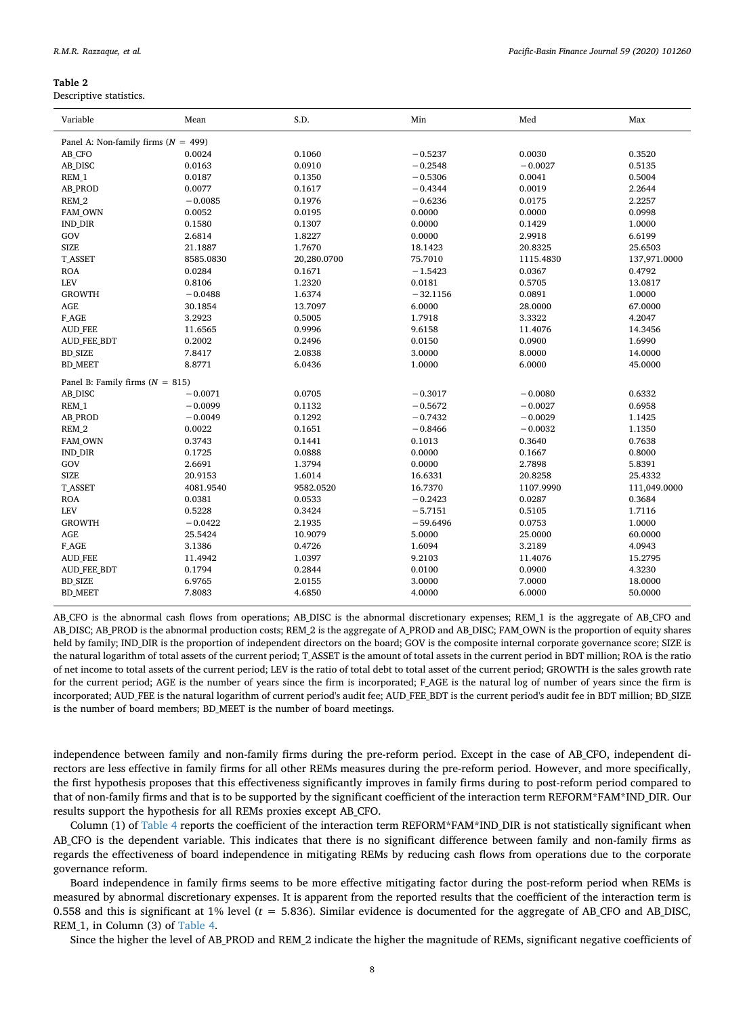<span id="page-7-0"></span>Descriptive statistics.

| Variable                                | Mean      | S.D.        | Min        | Med       | Max          |
|-----------------------------------------|-----------|-------------|------------|-----------|--------------|
| Panel A: Non-family firms ( $N = 499$ ) |           |             |            |           |              |
| AB_CFO                                  | 0.0024    | 0.1060      | $-0.5237$  | 0.0030    | 0.3520       |
| AB_DISC                                 | 0.0163    | 0.0910      | $-0.2548$  | $-0.0027$ | 0.5135       |
| REM 1                                   | 0.0187    | 0.1350      | $-0.5306$  | 0.0041    | 0.5004       |
| <b>AB PROD</b>                          | 0.0077    | 0.1617      | $-0.4344$  | 0.0019    | 2.2644       |
| REM_2                                   | $-0.0085$ | 0.1976      | $-0.6236$  | 0.0175    | 2.2257       |
| FAM_OWN                                 | 0.0052    | 0.0195      | 0.0000     | 0.0000    | 0.0998       |
| <b>IND_DIR</b>                          | 0.1580    | 0.1307      | 0.0000     | 0.1429    | 1.0000       |
| GOV                                     | 2.6814    | 1.8227      | 0.0000     | 2.9918    | 6.6199       |
| <b>SIZE</b>                             | 21.1887   | 1.7670      | 18.1423    | 20.8325   | 25.6503      |
| <b>T_ASSET</b>                          | 8585.0830 | 20,280.0700 | 75.7010    | 1115.4830 | 137,971.0000 |
| <b>ROA</b>                              | 0.0284    | 0.1671      | $-1.5423$  | 0.0367    | 0.4792       |
| <b>LEV</b>                              | 0.8106    | 1.2320      | 0.0181     | 0.5705    | 13.0817      |
| <b>GROWTH</b>                           | $-0.0488$ | 1.6374      | $-32.1156$ | 0.0891    | 1.0000       |
| AGE                                     | 30.1854   | 13.7097     | 6.0000     | 28.0000   | 67.0000      |
| F_AGE                                   | 3.2923    | 0.5005      | 1.7918     | 3.3322    | 4.2047       |
| <b>AUD_FEE</b>                          | 11.6565   | 0.9996      | 9.6158     | 11.4076   | 14.3456      |
| AUD_FEE_BDT                             | 0.2002    | 0.2496      | 0.0150     | 0.0900    | 1.6990       |
| <b>BD_SIZE</b>                          | 7.8417    | 2.0838      | 3.0000     | 8.0000    | 14.0000      |
| <b>BD_MEET</b>                          | 8.8771    | 6.0436      | 1.0000     | 6.0000    | 45.0000      |
| Panel B: Family firms $(N = 815)$       |           |             |            |           |              |
| AB_DISC                                 | $-0.0071$ | 0.0705      | $-0.3017$  | $-0.0080$ | 0.6332       |
| REM 1                                   | $-0.0099$ | 0.1132      | $-0.5672$  | $-0.0027$ | 0.6958       |
| <b>AB PROD</b>                          | $-0.0049$ | 0.1292      | $-0.7432$  | $-0.0029$ | 1.1425       |
| REM_2                                   | 0.0022    | 0.1651      | $-0.8466$  | $-0.0032$ | 1.1350       |
| <b>FAM OWN</b>                          | 0.3743    | 0.1441      | 0.1013     | 0.3640    | 0.7638       |
| <b>IND DIR</b>                          | 0.1725    | 0.0888      | 0.0000     | 0.1667    | 0.8000       |
| GOV                                     | 2.6691    | 1.3794      | 0.0000     | 2.7898    | 5.8391       |
| <b>SIZE</b>                             | 20.9153   | 1.6014      | 16.6331    | 20.8258   | 25.4332      |
| <b>T_ASSET</b>                          | 4081.9540 | 9582.0520   | 16.7370    | 1107.9990 | 111,049.0000 |
| <b>ROA</b>                              | 0.0381    | 0.0533      | $-0.2423$  | 0.0287    | 0.3684       |
| <b>LEV</b>                              | 0.5228    | 0.3424      | $-5.7151$  | 0.5105    | 1.7116       |
| <b>GROWTH</b>                           | $-0.0422$ | 2.1935      | $-59.6496$ | 0.0753    | 1.0000       |
| AGE                                     | 25.5424   | 10.9079     | 5.0000     | 25.0000   | 60.0000      |
| F_AGE                                   | 3.1386    | 0.4726      | 1.6094     | 3.2189    | 4.0943       |
| <b>AUD_FEE</b>                          | 11.4942   | 1.0397      | 9.2103     | 11.4076   | 15.2795      |
| <b>AUD FEE BDT</b>                      | 0.1794    | 0.2844      | 0.0100     | 0.0900    | 4.3230       |
| <b>BD_SIZE</b>                          | 6.9765    | 2.0155      | 3.0000     | 7.0000    | 18.0000      |
| <b>BD_MEET</b>                          | 7.8083    | 4.6850      | 4.0000     | 6.0000    | 50.0000      |

AB\_CFO is the abnormal cash flows from operations; AB\_DISC is the abnormal discretionary expenses; REM\_1 is the aggregate of AB\_CFO and AB\_DISC; AB\_PROD is the abnormal production costs; REM\_2 is the aggregate of A\_PROD and AB\_DISC; FAM\_OWN is the proportion of equity shares held by family; IND\_DIR is the proportion of independent directors on the board; GOV is the composite internal corporate governance score; SIZE is the natural logarithm of total assets of the current period; T\_ASSET is the amount of total assets in the current period in BDT million; ROA is the ratio of net income to total assets of the current period; LEV is the ratio of total debt to total asset of the current period; GROWTH is the sales growth rate for the current period; AGE is the number of years since the firm is incorporated; F\_AGE is the natural log of number of years since the firm is incorporated; AUD\_FEE is the natural logarithm of current period's audit fee; AUD\_FEE\_BDT is the current period's audit fee in BDT million; BD\_SIZE is the number of board members; BD\_MEET is the number of board meetings.

independence between family and non-family firms during the pre-reform period. Except in the case of AB\_CFO, independent directors are less effective in family firms for all other REMs measures during the pre-reform period. However, and more specifically, the first hypothesis proposes that this effectiveness significantly improves in family firms during to post-reform period compared to that of non-family firms and that is to be supported by the significant coefficient of the interaction term REFORM\*FAM\*IND\_DIR. Our results support the hypothesis for all REMs proxies except AB\_CFO.

Column (1) of [Table 4](#page-9-0) reports the coefficient of the interaction term REFORM\*FAM\*IND\_DIR is not statistically significant when AB\_CFO is the dependent variable. This indicates that there is no significant difference between family and non-family firms as regards the effectiveness of board independence in mitigating REMs by reducing cash flows from operations due to the corporate governance reform.

Board independence in family firms seems to be more effective mitigating factor during the post-reform period when REMs is measured by abnormal discretionary expenses. It is apparent from the reported results that the coefficient of the interaction term is 0.558 and this is significant at 1% level (*t* = 5.836). Similar evidence is documented for the aggregate of AB\_CFO and AB\_DISC, REM\_1, in Column (3) of [Table 4.](#page-9-0)

Since the higher the level of AB\_PROD and REM\_2 indicate the higher the magnitude of REMs, significant negative coefficients of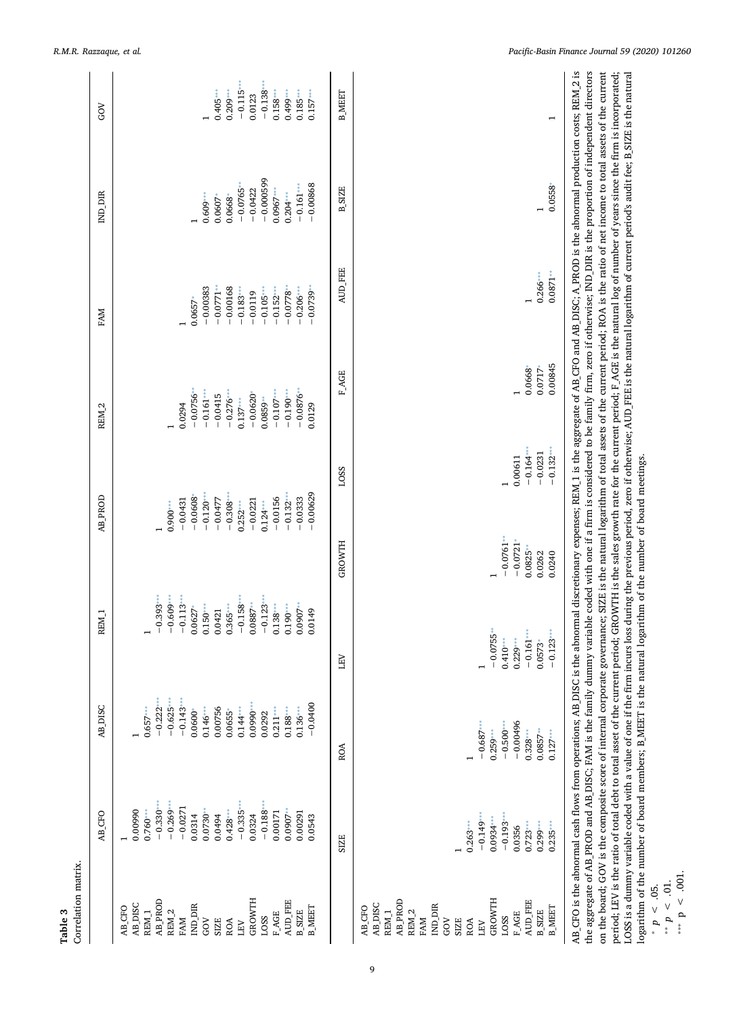<span id="page-8-3"></span><span id="page-8-2"></span><span id="page-8-1"></span><span id="page-8-0"></span>

| Correlation matrix.                                                                                                                                                                                      |                                                                                                                                                                                       |                                                                                                                                                                                                        |                                                                                                                                                                             |                                                                                                                                  |                                                 |                                                                                                                                                                          |                                                                                                                                                                                                                                                                                                                                                                                                                                                                                                                                                                                                                                                                                                                                                                                                                                                                                                                                                                                                           |                                                                                                                                    |                                                                                                                    |
|----------------------------------------------------------------------------------------------------------------------------------------------------------------------------------------------------------|---------------------------------------------------------------------------------------------------------------------------------------------------------------------------------------|--------------------------------------------------------------------------------------------------------------------------------------------------------------------------------------------------------|-----------------------------------------------------------------------------------------------------------------------------------------------------------------------------|----------------------------------------------------------------------------------------------------------------------------------|-------------------------------------------------|--------------------------------------------------------------------------------------------------------------------------------------------------------------------------|-----------------------------------------------------------------------------------------------------------------------------------------------------------------------------------------------------------------------------------------------------------------------------------------------------------------------------------------------------------------------------------------------------------------------------------------------------------------------------------------------------------------------------------------------------------------------------------------------------------------------------------------------------------------------------------------------------------------------------------------------------------------------------------------------------------------------------------------------------------------------------------------------------------------------------------------------------------------------------------------------------------|------------------------------------------------------------------------------------------------------------------------------------|--------------------------------------------------------------------------------------------------------------------|
|                                                                                                                                                                                                          | AB CFO                                                                                                                                                                                | AB_DISC                                                                                                                                                                                                | REM <sub>1</sub>                                                                                                                                                            | <b>AB PROD</b>                                                                                                                   |                                                 | REM <sub>2</sub>                                                                                                                                                         | FAM                                                                                                                                                                                                                                                                                                                                                                                                                                                                                                                                                                                                                                                                                                                                                                                                                                                                                                                                                                                                       | ind dir                                                                                                                            | <b>GOV</b>                                                                                                         |
| <b>AB_PROD</b><br>GROWTH<br>AUD_FEE<br>AB_DISC<br>IND DIR<br>AB_CFO<br><b>B_MEET</b><br>REM <sub>2</sub><br><b>B_SIZE</b><br>REM <sub>1</sub><br><b>FAGE</b><br>LOSS<br>FAM<br>GOV<br>SIZE<br>ROA<br>LEV | $-0.330***$<br>$-0.269$ *<br>$-0.0271$<br>$-0.335$<br>$-0.188$<br>0.00990<br>$0.760***$<br>0.428<br>0.00171<br>0.00291<br>$0.0730*$<br>0.0314<br>0.0324<br>0.0543<br>0.0494<br>0.0907 | $-0.222***$<br>$-0.625***$<br>$-0.0400$<br>$-0.143*$<br>$0.0990***$<br>0.00756<br>$0.144***$<br>$0.136***$<br>$0.0600*$<br>$0.657***$<br>$0.146***$<br>$0.0655*$<br>$0.211***$<br>$0.188***$<br>0.0292 | $-0.393$<br>$-0.609***$<br>$-0.113$<br>$-0.123$ **<br>$-0.158$<br>0.0887<br>$0.0907***$<br>$0.365***$<br>0.138<br>$0.0627*$<br>$0.150***$<br>$0.190***$<br>0.0149<br>0.0421 | $-0.0608$<br>$-0.0156$<br>$-0.0333$<br>$-0.0477$<br>$-0.132$<br>$-0.0431$<br>$-0.0221$<br>$0.252***$<br>$0.124***$<br>$0.900***$ | $-0.00629$<br>$-0.120***$<br>$-0.308$           | $-0.0756$<br>$-0.0876$<br>$-0.190$<br>$-0.161***$<br>$-0.276$ ****<br>$-0.107***$<br>$-0.0620$ <sup>*</sup><br>$-0.0415$<br>$0.0859**$<br>$0.137***$<br>0.0294<br>0.0129 | $-0.0771$<br>$-0.00168$<br>$-0.0778$<br>$-0.00383$<br>$-0.206***$<br>$-0.0739$<br>$-0.105***$<br>$-0.152***$<br>$-0.183$<br>$-0.0119$<br>$0.0657*$                                                                                                                                                                                                                                                                                                                                                                                                                                                                                                                                                                                                                                                                                                                                                                                                                                                        | $-0.000599$<br>$-0.00868$<br>$-0.0765$ *<br>$-0.161***$<br>$0.0967***$<br>$-0.0422$<br>0.0668"<br>$0.204***$<br>0.609<br>$0.0607*$ | $-0.138$<br>$-0.115$<br>$0.405***$<br>$0.158***$<br>$0.209***$<br>$0.185***$<br>$0.499***$<br>$0.157***$<br>0.0123 |
|                                                                                                                                                                                                          | <b>SIZE</b>                                                                                                                                                                           | ROA                                                                                                                                                                                                    | <b>NET</b>                                                                                                                                                                  | GROWTH                                                                                                                           | LOSS                                            | F AGE                                                                                                                                                                    | <b>AUD FEE</b>                                                                                                                                                                                                                                                                                                                                                                                                                                                                                                                                                                                                                                                                                                                                                                                                                                                                                                                                                                                            | <b>B_SIZE</b>                                                                                                                      | <b>B MEET</b>                                                                                                      |
| <b>AB_PROD</b><br>GROWTH<br>AUD_FEE<br>AB_DISC<br>IND_DIR<br>AB_CFO<br><b>B_MEET</b><br>REM <sub>1</sub><br>REM <sub>2</sub><br><b>B_SIZE</b><br>F_AGE<br>LOSS<br>FAM<br>GOV<br>SIZE<br>ROA<br>LEV       | $-0.193***$<br>$-0.149$<br>$0.0934***$<br>$0.263***$<br>$0.723***$<br>0.0356<br>$0.299***$<br>$0.235$ ***                                                                             | $-0.00496$<br>$-0.500***$<br>$-0.687$<br>$0.0857***$<br>$0.259***$<br>$0.328***$<br>0.127                                                                                                              | $-0.0755$<br>$-0.161***$<br>$-0.123$<br>$0.410***$<br>$0.229***$<br>$0.0573*$                                                                                               | $-0.0761***$<br>$-0.0721*$<br>$0.0825***$<br>0.0262<br>0.0240                                                                    | $-0.164***$<br>$-0.132$<br>$-0.0231$<br>0.00611 | 0.00845<br>0.0668<br>$0.0717*$                                                                                                                                           | 0.0871<br>$0.266***$                                                                                                                                                                                                                                                                                                                                                                                                                                                                                                                                                                                                                                                                                                                                                                                                                                                                                                                                                                                      | 0.0558                                                                                                                             |                                                                                                                    |
| $\leq$ .001.<br>$<\,$ .01.<br>* $p \le 0.05$ .<br>$\mathbf{b}$ , $\mathbf{b}$<br>$\boldsymbol{d}$                                                                                                        | AB_CFO is the abnormal cash flows from operations; AB_DISC                                                                                                                            |                                                                                                                                                                                                        | logarithm of the number of board members; B_MEET is the natural logarithm of the number of board meetings.                                                                  |                                                                                                                                  |                                                 |                                                                                                                                                                          | is the abnormal discretionary expenses; REM_1 is the aggregate of AB_CFO and AB_DISC; A_PROD is the abnormal production costs; REM_2 is<br>the aggregate of AB_PROD and AB_DISC, FAM is the family dummy variable coded with one if a firm is considered to be family firm, zero if otherwise; IND_DIR is the proportion of independent directors<br>on the board; GOV is the composite score of internal corporate governance; SIZE is the natural logarithm of total assets of the current period; ROA is the ratio of net income to total assets of the current<br>period; LEV is the ratio of total debt to total asset of the current period; GROWTH is the sales growth rate for the current period; F_AGE is the natural log of number of years since the firm is incorporated;<br>LOSS is a dummy variable coded with a value of one if the firm incurs loss during the previous period, zero if otherwise; AUD_FEE is the natural logarithm of current period's audit fee; B_SIZE is the natural |                                                                                                                                    |                                                                                                                    |

9

**Table 3**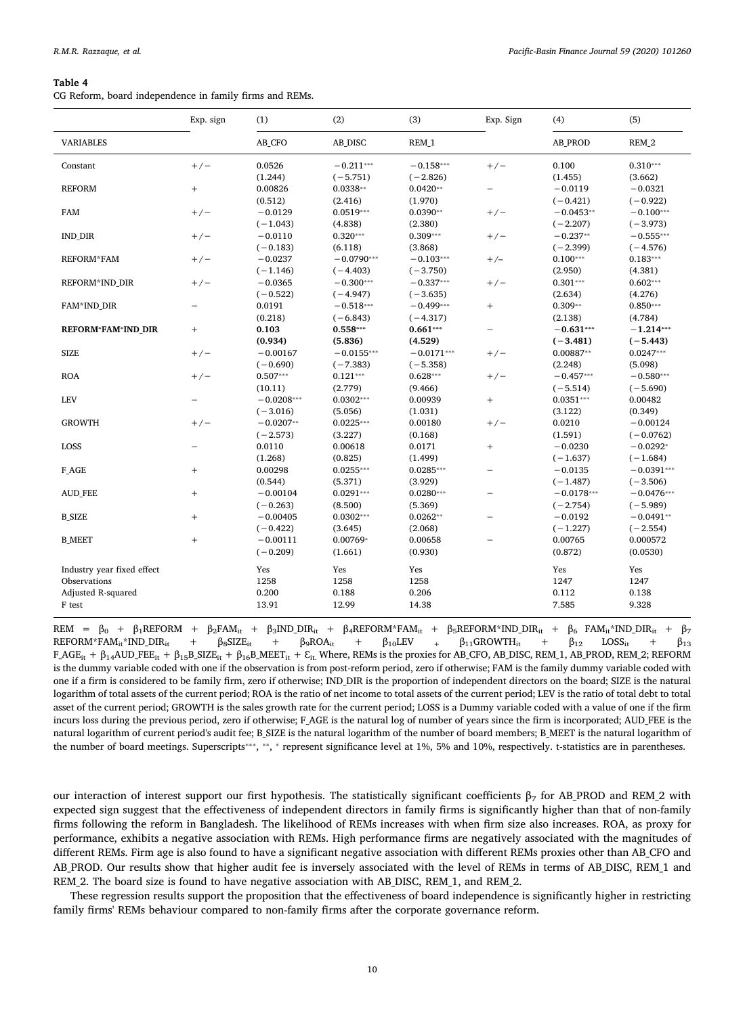<span id="page-9-0"></span>CG Reform, board independence in family firms and REMs.

|                            | Exp. sign | (1)          | (2)          | (3)          | Exp. Sign                | (4)          | (5)          |
|----------------------------|-----------|--------------|--------------|--------------|--------------------------|--------------|--------------|
| <b>VARIABLES</b>           |           | AB_CFO       | AB_DISC      | REM 1        |                          | AB_PROD      | REM 2        |
| Constant                   | $+/-$     | 0.0526       | $-0.211***$  | $-0.158***$  | $+/-$                    | 0.100        | $0.310***$   |
|                            |           | (1.244)      | $(-5.751)$   | $(-2.826)$   |                          | (1.455)      | (3.662)      |
| <b>REFORM</b>              | $^{+}$    | 0.00826      | $0.0338**$   | $0.0420**$   |                          | $-0.0119$    | $-0.0321$    |
|                            |           | (0.512)      | (2.416)      | (1.970)      |                          | $(-0.421)$   | $(-0.922)$   |
| <b>FAM</b>                 | $+/-$     | $-0.0129$    | $0.0519***$  | $0.0390**$   | $+/-$                    | $-0.0453**$  | $-0.100***$  |
|                            |           | $(-1.043)$   | (4.838)      | (2.380)      |                          | $(-2.207)$   | $(-3.973)$   |
| <b>IND_DIR</b>             | $+/-$     | $-0.0110$    | $0.320***$   | $0.309***$   | $+/-$                    | $-0.237**$   | $-0.555***$  |
|                            |           | $(-0.183)$   | (6.118)      | (3.868)      |                          | $(-2.399)$   | $(-4.576)$   |
| <b>REFORM*FAM</b>          | $+/-$     | $-0.0237$    | $-0.0790***$ | $-0.103***$  | $+/-$                    | $0.100***$   | $0.183***$   |
|                            |           | $(-1.146)$   | $(-4.403)$   | $(-3.750)$   |                          | (2.950)      | (4.381)      |
| REFORM*IND_DIR             | $+/-$     | $-0.0365$    | $-0.300***$  | $-0.337***$  | $+/-$                    | $0.301***$   | $0.602***$   |
|                            |           | $(-0.522)$   | $(-4.947)$   | $(-3.635)$   |                          | (2.634)      | (4.276)      |
| FAM*IND_DIR                | -         | 0.0191       | $-0.518***$  | $-0.499***$  | $^{+}$                   | $0.309**$    | $0.850***$   |
|                            |           | (0.218)      | $(-6.843)$   | $(-4.317)$   |                          | (2.138)      | (4.784)      |
| REFORM*FAM*IND_DIR         | $^{+}$    | 0.103        | $0.558***$   | $0.661***$   | $\overline{\phantom{0}}$ | $-0.631***$  | $-1.214***$  |
|                            |           | (0.934)      | (5.836)      | (4.529)      |                          | $(-3.481)$   | $(-5.443)$   |
| <b>SIZE</b>                | $+/-$     | $-0.00167$   | $-0.0155***$ | $-0.0171***$ | $+/-$                    | $0.00887**$  | $0.0247***$  |
|                            |           | $(-0.690)$   | $(-7.383)$   | $(-5.358)$   |                          | (2.248)      | (5.098)      |
| <b>ROA</b>                 | $+/-$     | $0.507***$   | $0.121***$   | $0.628***$   | $+/-$                    | $-0.457***$  | $-0.580***$  |
|                            |           | (10.11)      | (2.779)      | (9.466)      |                          | $(-5.514)$   | $(-5.690)$   |
| LEV                        | -         | $-0.0208***$ | $0.0302***$  | 0.00939      | $^{+}$                   | $0.0351***$  | 0.00482      |
|                            |           | $(-3.016)$   | (5.056)      | (1.031)      |                          | (3.122)      | (0.349)      |
| <b>GROWTH</b>              | $+/-$     | $-0.0207**$  | $0.0225***$  | 0.00180      | $+/-$                    | 0.0210       | $-0.00124$   |
|                            |           | $(-2.573)$   | (3.227)      | (0.168)      |                          | (1.591)      | $(-0.0762)$  |
| LOSS                       | -         | 0.0110       | 0.00618      | 0.0171       | $^{+}$                   | $-0.0230$    | $-0.0292*$   |
|                            |           | (1.268)      | (0.825)      | (1.499)      |                          | $(-1.637)$   | $(-1.684)$   |
| F AGE                      | $^{+}$    | 0.00298      | $0.0255***$  | $0.0285***$  | -                        | $-0.0135$    | $-0.0391***$ |
|                            |           | (0.544)      | (5.371)      | (3.929)      |                          | $(-1.487)$   | $(-3.506)$   |
| <b>AUD_FEE</b>             | $^{+}$    | $-0.00104$   | $0.0291***$  | $0.0280***$  | $\overline{\phantom{0}}$ | $-0.0178***$ | $-0.0476***$ |
|                            |           | $(-0.263)$   | (8.500)      | (5.369)      |                          | $(-2.754)$   | $(-5.989)$   |
| <b>B SIZE</b>              | $^{+}$    | $-0.00405$   | $0.0302***$  | $0.0262**$   |                          | $-0.0192$    | $-0.0491**$  |
|                            |           | $(-0.422)$   | (3.645)      | (2.068)      |                          | $(-1.227)$   | $(-2.554)$   |
| <b>B MEET</b>              | $^{+}$    | $-0.00111$   | 0.00769*     | 0.00658      |                          | 0.00765      | 0.000572     |
|                            |           | $(-0.209)$   | (1.661)      | (0.930)      |                          | (0.872)      | (0.0530)     |
| Industry year fixed effect |           | Yes          | Yes          | Yes          |                          | Yes          | Yes          |
| Observations               |           | 1258         | 1258         | 1258         |                          | 1247         | 1247         |
| Adjusted R-squared         |           | 0.200        | 0.188        | 0.206        |                          | 0.112        | 0.138        |
| F test                     |           | 13.91        | 12.99        | 14.38        |                          | 7.585        | 9.328        |
|                            |           |              |              |              |                          |              |              |

REM =  $β_0$  + β<sub>1</sub>REFORM + β<sub>2</sub>FAM<sub>it</sub> + β<sub>3</sub>IND\_DIR<sub>it</sub> + β<sub>4</sub>REFORM\*FAM<sub>it</sub> + β<sub>5</sub>REFORM\*IND\_DIR<sub>it</sub> + β<sub>6</sub> FAM<sub>it</sub>\*IND\_DIR<sub>it</sub> + β<sub>7</sub>  $\text{REFORM*FAM}_{it}^*\text{IND\_DIR}_{it} \quad + \quad \beta_8\text{SIZE}_{it} \quad + \quad \beta_9\text{ROA}_{it} \quad + \quad \beta_{10}\text{LEV} \quad + \quad \beta_{11}\text{GROWTH}_{it} \quad + \quad \beta_{12} \quad \text{LOSs}_{it} \quad + \quad \beta_{13}\text{DOS}_{it}$  $F\_AGE_{it} + \beta_{14}AUD\_FEE_{it} + \beta_{15}B\_SIZE_{it} + \beta_{16}B\_MEET_{it} + \varepsilon_{it}$ . Where, REMs is the proxies for AB\_CFO, AB\_DISC, REM\_1, AB\_PROD, REM\_2; REFORM is the dummy variable coded with one if the observation is from post-reform period, zero if otherwise; FAM is the family dummy variable coded with one if a firm is considered to be family firm, zero if otherwise; IND\_DIR is the proportion of independent directors on the board; SIZE is the natural logarithm of total assets of the current period; ROA is the ratio of net income to total assets of the current period; LEV is the ratio of total debt to total asset of the current period; GROWTH is the sales growth rate for the current period; LOSS is a Dummy variable coded with a value of one if the firm incurs loss during the previous period, zero if otherwise; F\_AGE is the natural log of number of years since the firm is incorporated; AUD\_FEE is the natural logarithm of current period's audit fee; B\_SIZE is the natural logarithm of the number of board members; B\_MEET is the natural logarithm of the number of board meetings. Superscripts<sup>\*\*\*</sup>, \*\*, \* represent significance level at 1%, 5% and 10%, respectively. t-statistics are in parentheses.

our interaction of interest support our first hypothesis. The statistically significant coefficients  $\beta_7$  for AB\_PROD and REM\_2 with expected sign suggest that the effectiveness of independent directors in family firms is significantly higher than that of non-family firms following the reform in Bangladesh. The likelihood of REMs increases with when firm size also increases. ROA, as proxy for performance, exhibits a negative association with REMs. High performance firms are negatively associated with the magnitudes of different REMs. Firm age is also found to have a significant negative association with different REMs proxies other than AB\_CFO and AB\_PROD. Our results show that higher audit fee is inversely associated with the level of REMs in terms of AB\_DISC, REM\_1 and REM\_2. The board size is found to have negative association with AB\_DISC, REM\_1, and REM\_2.

These regression results support the proposition that the effectiveness of board independence is significantly higher in restricting family firms' REMs behaviour compared to non-family firms after the corporate governance reform.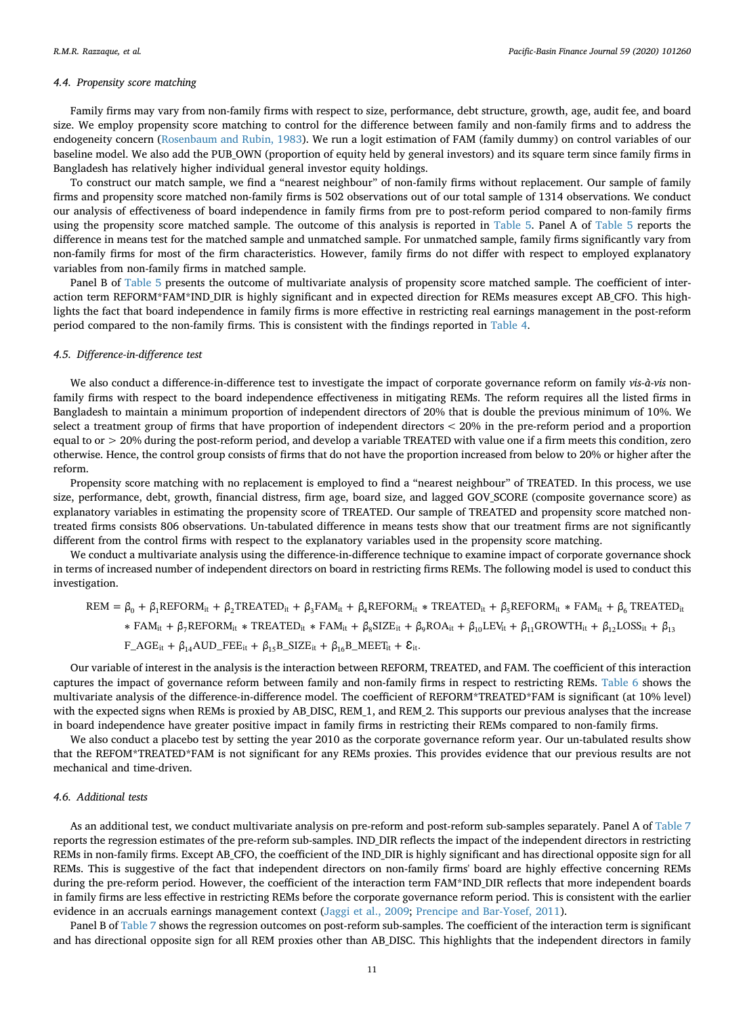#### *4.4. Propensity score matching*

Family firms may vary from non-family firms with respect to size, performance, debt structure, growth, age, audit fee, and board size. We employ propensity score matching to control for the difference between family and non-family firms and to address the endogeneity concern ([Rosenbaum and Rubin, 1983\)](#page-20-21). We run a logit estimation of FAM (family dummy) on control variables of our baseline model. We also add the PUB\_OWN (proportion of equity held by general investors) and its square term since family firms in Bangladesh has relatively higher individual general investor equity holdings.

To construct our match sample, we find a "nearest neighbour" of non-family firms without replacement. Our sample of family firms and propensity score matched non-family firms is 502 observations out of our total sample of 1314 observations. We conduct our analysis of effectiveness of board independence in family firms from pre to post-reform period compared to non-family firms using the propensity score matched sample. The outcome of this analysis is reported in [Table 5](#page-11-0). Panel A of [Table 5](#page-11-0) reports the difference in means test for the matched sample and unmatched sample. For unmatched sample, family firms significantly vary from non-family firms for most of the firm characteristics. However, family firms do not differ with respect to employed explanatory variables from non-family firms in matched sample.

Panel B of [Table 5](#page-11-0) presents the outcome of multivariate analysis of propensity score matched sample. The coefficient of interaction term REFORM\*FAM\*IND DIR is highly significant and in expected direction for REMs measures except AB\_CFO. This highlights the fact that board independence in family firms is more effective in restricting real earnings management in the post-reform period compared to the non-family firms. This is consistent with the findings reported in [Table 4](#page-9-0).

# *4.5. Difference-in-difference test*

We also conduct a difference-in-difference test to investigate the impact of corporate governance reform on family *vis-à-vis* nonfamily firms with respect to the board independence effectiveness in mitigating REMs. The reform requires all the listed firms in Bangladesh to maintain a minimum proportion of independent directors of 20% that is double the previous minimum of 10%. We select a treatment group of firms that have proportion of independent directors < 20% in the pre-reform period and a proportion equal to or > 20% during the post-reform period, and develop a variable TREATED with value one if a firm meets this condition, zero otherwise. Hence, the control group consists of firms that do not have the proportion increased from below to 20% or higher after the reform.

Propensity score matching with no replacement is employed to find a "nearest neighbour" of TREATED. In this process, we use size, performance, debt, growth, financial distress, firm age, board size, and lagged GOV\_SCORE (composite governance score) as explanatory variables in estimating the propensity score of TREATED. Our sample of TREATED and propensity score matched nontreated firms consists 806 observations. Un-tabulated difference in means tests show that our treatment firms are not significantly different from the control firms with respect to the explanatory variables used in the propensity score matching.

We conduct a multivariate analysis using the difference-in-difference technique to examine impact of corporate governance shock in terms of increased number of independent directors on board in restricting firms REMs. The following model is used to conduct this investigation.

$$
REM = \beta_0 + \beta_1 REFORM_{it} + \beta_2 TREATED_{it} + \beta_3 FAM_{it} + \beta_4 REFORM_{it} * TREATED_{it} + \beta_5 REFORM_{it} * FAM_{it} + \beta_6 TREATED_{it} * FAM_{it} + \beta_7 REFORM_{it} * TREATED_{it} * FAM_{it} + \beta_8 SIZE_{it} + \beta_9 ROA_{it} + \beta_{10} LEV_{it} + \beta_{11} GROWTH_{it} + \beta_{12} LOSS_{it} + \beta_{13} F_A GEE_{it} + \beta_{14} AUD\_FEE_{it} + \beta_{15} B_SIZE_{it} + \beta_{16} B_MEET_{it} + \mathcal{E}_{it}.
$$

Our variable of interest in the analysis is the interaction between REFORM, TREATED, and FAM. The coefficient of this interaction captures the impact of governance reform between family and non-family firms in respect to restricting REMs. [Table 6](#page-13-0) shows the multivariate analysis of the difference-in-difference model. The coefficient of REFORM\*TREATED\*FAM is significant (at 10% level) with the expected signs when REMs is proxied by AB\_DISC, REM\_1, and REM\_2. This supports our previous analyses that the increase in board independence have greater positive impact in family firms in restricting their REMs compared to non-family firms.

We also conduct a placebo test by setting the year 2010 as the corporate governance reform year. Our un-tabulated results show that the REFOM\*TREATED\*FAM is not significant for any REMs proxies. This provides evidence that our previous results are not mechanical and time-driven.

# *4.6. Additional tests*

As an additional test, we conduct multivariate analysis on pre-reform and post-reform sub-samples separately. Panel A of [Table 7](#page-14-0) reports the regression estimates of the pre-reform sub-samples. IND\_DIR reflects the impact of the independent directors in restricting REMs in non-family firms. Except AB\_CFO, the coefficient of the IND\_DIR is highly significant and has directional opposite sign for all REMs. This is suggestive of the fact that independent directors on non-family firms' board are highly effective concerning REMs during the pre-reform period. However, the coefficient of the interaction term FAM\*IND\_DIR reflects that more independent boards in family firms are less effective in restricting REMs before the corporate governance reform period. This is consistent with the earlier evidence in an accruals earnings management context [\(Jaggi et al., 2009](#page-20-7); [Prencipe and Bar-Yosef, 2011\)](#page-20-8).

Panel B of [Table 7](#page-14-0) shows the regression outcomes on post-reform sub-samples. The coefficient of the interaction term is significant and has directional opposite sign for all REM proxies other than AB\_DISC. This highlights that the independent directors in family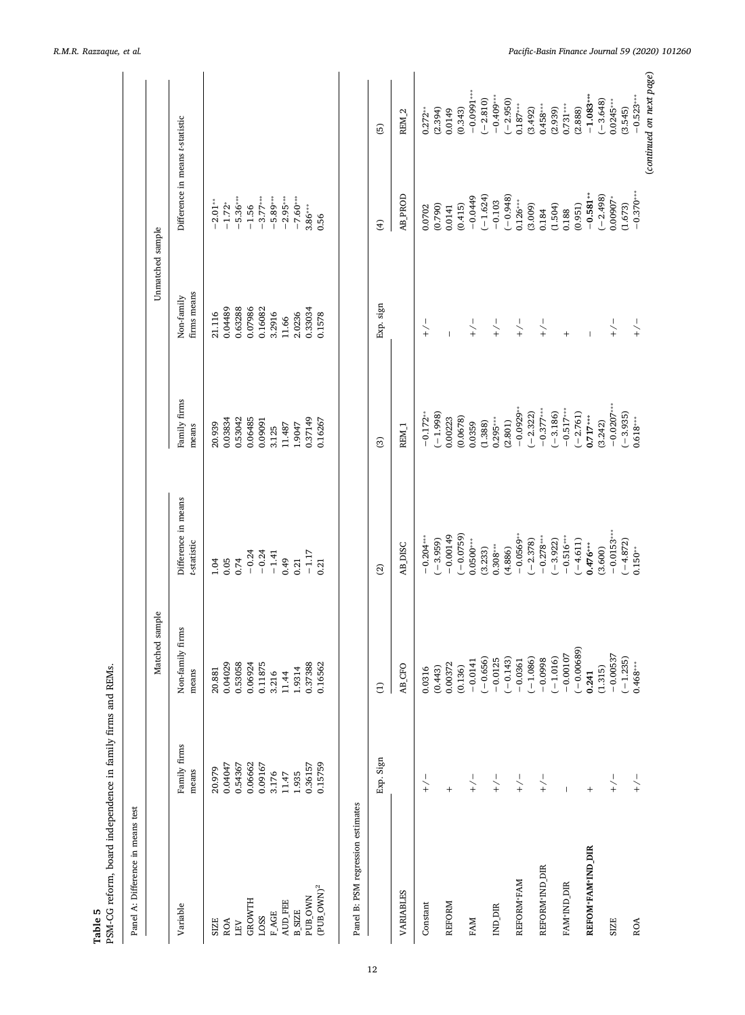<span id="page-11-0"></span>

| PSM-CG reform, board independence in family firms and REMs.<br>Panel A: Difference in means test |                       |                           |                                    |                                      |                           |                                 |                           |
|--------------------------------------------------------------------------------------------------|-----------------------|---------------------------|------------------------------------|--------------------------------------|---------------------------|---------------------------------|---------------------------|
|                                                                                                  |                       | Matched sample            |                                    |                                      | Unmatched sample          |                                 |                           |
| Variable                                                                                         | Family firms<br>means | Non-family firms<br>means | Difference in means<br>t-statistic | Family firms<br>means                | firms means<br>Non-family | Difference in means t-statistic |                           |
| SIZE                                                                                             | 20.979                | 20.881                    | 1.04                               | 20.939                               | 21.116                    | $-2.01**$                       |                           |
| ROA                                                                                              | 0.04047               | 0.04029                   | 0.05                               | 0.03834                              | 0.04489                   | $-1.72*$                        |                           |
| $\overline{\text{LFV}}$                                                                          | 0.54367               | 0.53058                   | 0.74                               | 0.53042                              | 0.63288                   | $-5.36***$                      |                           |
| <b>GROWTH</b>                                                                                    | 0.06662               | 0.06924                   | $-0.24$                            | 0.06485                              | 0.07986                   | $-1.56$                         |                           |
| LOSS                                                                                             | 0.09167               | 0.11875                   | $-0.24$                            | 0.09091                              | 0.16082                   | $-3.77***$                      |                           |
| <b>F_AGE</b>                                                                                     | 3.176                 | 3.216<br>11.44            | $-1.41$                            | 3.125                                | 3.2916                    | $-5.89***$                      |                           |
| AUD_FEE                                                                                          | 11.47                 |                           | 0.49                               | 11.487                               | 11.66                     | $-2.95***$<br>$-7.60***$        |                           |
| <b>B_SIZE</b>                                                                                    | 1.935                 | 1.9314                    | 0.21                               | 1.9047                               | 2.0236                    |                                 |                           |
| <b>PUB_OWN</b>                                                                                   | 0.36157               | 0.37388                   | $-1.17$                            | 0.37149                              | 0.33034                   | $3.86***$                       |                           |
| $(PUB_$ OWN) <sup>2</sup>                                                                        | 0.15759               | 0.16562                   | 0.21                               | 0.16267                              | 0.1578                    | 0.56                            |                           |
| Panel B: PSM regression estimates                                                                |                       |                           |                                    |                                      |                           |                                 |                           |
|                                                                                                  | Exp. Sign             | $\widehat{\Xi}$           | $\widehat{c}$                      | $\odot$                              | Exp. sign                 | $\widehat{f}$                   | 6                         |
| VARIABLES                                                                                        |                       | AB_CFO                    | <b>AB_DISC</b>                     | REM <sub>1</sub>                     |                           | <b>AB_PROD</b>                  | REM <sub>2</sub>          |
| Constant                                                                                         | $\widetilde{+}$       | 0.0316                    | $-0.204***$                        | $-0.172**$                           | $\frac{1}{2}$             | 0.0702                          | $0.272**$                 |
|                                                                                                  |                       | (0.443)                   | $(-3.959)$                         | $(-1.998)$                           |                           | (0.790)                         | (2.394)                   |
| <b>REFORM</b>                                                                                    | $^{+}$                | 0.00372                   | $-0.00149$                         | 0.00223                              | $\overline{1}$            | 0.0141                          | 0.0149                    |
|                                                                                                  |                       | (0.136)                   | $(-0.0759)$                        | (0.0678)                             |                           | (0.415)                         | (0.343)                   |
| FAM                                                                                              | $-\frac{1}{2}$        | $-0.0141$                 | $0.0500***$                        | 0.0359                               | $-\frac{1}{2}$            | $-0.0449$                       | $-0.0991***$              |
|                                                                                                  |                       | $(-0.656)$                | (3.233)                            | (1.388)                              |                           | $(-1.624)$                      | $(-2.810)$                |
| IND_DIR                                                                                          | $\searrow$            | $(-0.143)$<br>$-0.0125$   | $0.308***$<br>(4.886)              | $0.295***$<br>(2.801)                | $-\frac{1}{2}$            | $(-0.948)$<br>$-0.103$          | $-0.409***$<br>$(-2.950)$ |
| REFORM <sup>*</sup> FAM                                                                          | $+\sqrt{+}$           | $-0.0361$                 | $-0.0569***$                       | $-0.0929**$                          | $-\frac{1}{2}$            | $0.126***$                      | $0.187***$                |
|                                                                                                  |                       | $(-1.086)$                | $(-2.378)$                         | $(-2.322)$                           |                           | (3.009)                         | (3.492)                   |
| REFORM <sup>*</sup> IND_DIR                                                                      | $ +$                  | $-0.0998$                 | $-0.278***$                        | $-0.377***$                          | $-\frac{1}{2}$            | 0.184                           | $0.458***$                |
|                                                                                                  |                       | $(-1.016)$                | $(-3.922)$                         | $(-3.186)$                           |                           | (1.504)                         | (2.939)                   |
| FAM*IND_DIR                                                                                      | $\overline{1}$        | $-0.00107$                | $-0.516***$                        | $-0.517***$                          | $\ddot{}$                 | 0.188                           | $0.731***$                |
|                                                                                                  |                       | $(-0.00689)$              | $(-4.611)$                         | $(-2.761)$                           |                           | (0.951)                         | (2.888)                   |
| REFOM*FAM*IND_DIR                                                                                | $\ddot{}$             | 0.241                     | $0.476***$                         | $0.717***$                           | $\overline{1}$            | $-0.581**$                      | $-1.083***$               |
|                                                                                                  |                       | (1.315)                   | (3.600)                            | (3.242)                              |                           | $(-2.498)$                      | $(-3.648)$                |
| SIZE                                                                                             | $-\big\backslash +$   | $-0.00537$<br>$(-1.235)$  | $-0.0153***$                       | $-0.0207***$<br>$(-3.935)$           | $-$ / $+$                 | $0.00907*$<br>(1.673)           | $0.0245***$<br>(3.545)    |
| ROA                                                                                              | $\frac{1}{2}$         | $0.468***$                | $(-4.872)$<br>$0.150***$           | $0.618^{\scriptscriptstyle\rm stat}$ | $\frac{1}{2}$             | $-0.370***$                     | $-0.523***$               |
|                                                                                                  |                       |                           |                                    |                                      |                           |                                 | (continued on next page)  |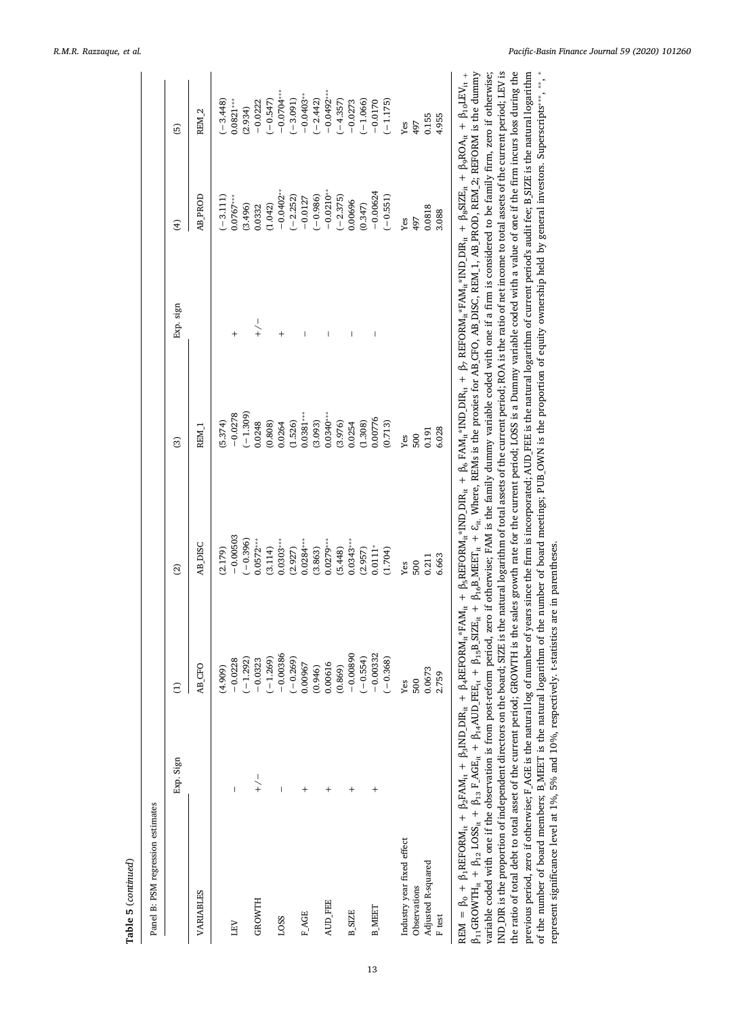| ֚֚֬ |
|-----|
|     |
|     |
|     |
|     |
|     |

| Panel B: PSM regression estimates |                |                                                                                                                                                                         |                                                                                                                                                                                                                                                                                                       |                                                                                                                                               |                |                                                                                                                                                                                                          |                                                                                                                                                                |
|-----------------------------------|----------------|-------------------------------------------------------------------------------------------------------------------------------------------------------------------------|-------------------------------------------------------------------------------------------------------------------------------------------------------------------------------------------------------------------------------------------------------------------------------------------------------|-----------------------------------------------------------------------------------------------------------------------------------------------|----------------|----------------------------------------------------------------------------------------------------------------------------------------------------------------------------------------------------------|----------------------------------------------------------------------------------------------------------------------------------------------------------------|
|                                   | Exp. Sign      | $\ominus$<br>$\overline{\phantom{a}}$                                                                                                                                   | $\widehat{\mathfrak{D}}$                                                                                                                                                                                                                                                                              | ම                                                                                                                                             | Exp. sign      | E                                                                                                                                                                                                        | $\overline{6}$                                                                                                                                                 |
| VARIABLES                         |                | CFO<br>$\overline{AB}$                                                                                                                                                  | <b>DISC</b>                                                                                                                                                                                                                                                                                           | REM <sub>-1</sub>                                                                                                                             |                | <b>TDROD</b>                                                                                                                                                                                             | REM <sub>2</sub>                                                                                                                                               |
|                                   |                |                                                                                                                                                                         | (2.179)                                                                                                                                                                                                                                                                                               | (5.374)                                                                                                                                       |                |                                                                                                                                                                                                          |                                                                                                                                                                |
| LEV                               | $\mathsf{I}$   |                                                                                                                                                                         | $-0.00503$                                                                                                                                                                                                                                                                                            |                                                                                                                                               |                | $(-3.111)$<br>$0.0767***$                                                                                                                                                                                | $(-3.448)$<br>$0.0821***$                                                                                                                                      |
|                                   |                | $(4.909)$<br>$-0.0228$<br>$(-1.292)$<br>$-0.323$                                                                                                                        |                                                                                                                                                                                                                                                                                                       | $-0.0278$<br>$(-1.309)$                                                                                                                       |                |                                                                                                                                                                                                          |                                                                                                                                                                |
| <b>GROWTH</b>                     | $-\frac{1}{2}$ |                                                                                                                                                                         |                                                                                                                                                                                                                                                                                                       |                                                                                                                                               | $-\frac{1}{2}$ |                                                                                                                                                                                                          |                                                                                                                                                                |
|                                   |                |                                                                                                                                                                         |                                                                                                                                                                                                                                                                                                       |                                                                                                                                               |                |                                                                                                                                                                                                          | $(2.934)$<br>$-0.0222$<br>$(-0.547)$<br>$(-0.547)$                                                                                                             |
| LOSS                              | Ī              |                                                                                                                                                                         |                                                                                                                                                                                                                                                                                                       |                                                                                                                                               |                |                                                                                                                                                                                                          |                                                                                                                                                                |
|                                   |                |                                                                                                                                                                         |                                                                                                                                                                                                                                                                                                       |                                                                                                                                               |                |                                                                                                                                                                                                          |                                                                                                                                                                |
| <b>FAGE</b>                       |                |                                                                                                                                                                         |                                                                                                                                                                                                                                                                                                       |                                                                                                                                               |                |                                                                                                                                                                                                          |                                                                                                                                                                |
|                                   |                | $\begin{array}{r} (-1.269) \\ -0.00386 \\ -0.00386 \\ 0.00967 \\ 0.00967 \\ 0.00016 \\ 0.00016 \\ -0.0089 \\ -0.0089 \\ -0.0039 \\ -0.00332 \\ -0.00332 \\ \end{array}$ |                                                                                                                                                                                                                                                                                                       |                                                                                                                                               |                |                                                                                                                                                                                                          |                                                                                                                                                                |
| AUD_FEE                           | $\ddot{}$      |                                                                                                                                                                         |                                                                                                                                                                                                                                                                                                       |                                                                                                                                               |                |                                                                                                                                                                                                          |                                                                                                                                                                |
|                                   |                |                                                                                                                                                                         |                                                                                                                                                                                                                                                                                                       |                                                                                                                                               |                |                                                                                                                                                                                                          |                                                                                                                                                                |
| <b>B_SIZE</b>                     |                |                                                                                                                                                                         |                                                                                                                                                                                                                                                                                                       |                                                                                                                                               |                |                                                                                                                                                                                                          |                                                                                                                                                                |
|                                   |                |                                                                                                                                                                         |                                                                                                                                                                                                                                                                                                       |                                                                                                                                               |                |                                                                                                                                                                                                          |                                                                                                                                                                |
| <b>B_MEET</b>                     |                |                                                                                                                                                                         |                                                                                                                                                                                                                                                                                                       |                                                                                                                                               |                |                                                                                                                                                                                                          |                                                                                                                                                                |
|                                   |                |                                                                                                                                                                         | $\begin{array}{c} (-0.396)\\ -0.0572^{***}\\ 0.314)\\ (3.114)\\ (2.0203^{***}\\ 0.0284^{***}\\ (3.863)\\ (3.863)\\ (3.863)\\ (3.863)\\ (3.863)\\ (3.863)\\ (3.863)\\ (3.863)\\ (3.863)\\ (3.863)\\ (3.863)\\ (3.863)\\ (3.863)\\ (3.863)\\ (3.863)\\ (3.863)\\ (3.863)\\ (3.863)\\ (3.863)\\ (3.863)$ | 0.0248<br>$(0.808)$<br>$(0.808)$<br>$(0.6264)$<br>$(1.526)$<br>$(1.526)$<br>$(0.0381$<br>$(0.0340$<br>$(0.0340)$<br>$(0.0376)$<br>$(0.00776)$ |                | $(3.496) \n0.0332 \n(1.042) \n-0.0402+ \n-0.2323) \n(-2.232) \n-0.0127 \n-0.0127 \n-0.0866 \n-0.0868 \n-0.00696 \n-0.00624 \n-0.00624 \n-0.00624 \n-0.00624 \n-0.00624 \n-0.00624 \n-0.00624 \n-0.00624$ | $\begin{array}{l} (-3.091) \\ -0.0403^{**} \\ -0.442) \\ -0.0492^{***} \\ -0.0492^{**} \\ -0.0273 \\ -0.0503 \\ -0.0073 \\ -0.0170 \\ -0.1175) \\ \end{array}$ |
| Industry year fixed effect        |                | $Y$ es                                                                                                                                                                  | $Y$ es                                                                                                                                                                                                                                                                                                | Yes                                                                                                                                           |                | $Y$ es                                                                                                                                                                                                   | $Y$ es                                                                                                                                                         |
| Observations                      |                | 500                                                                                                                                                                     | 500                                                                                                                                                                                                                                                                                                   | 500                                                                                                                                           |                | 497                                                                                                                                                                                                      | 497                                                                                                                                                            |
| Adjusted R-squared                |                | 0.0673                                                                                                                                                                  | 0.211                                                                                                                                                                                                                                                                                                 | 0.191                                                                                                                                         |                | 0.0818                                                                                                                                                                                                   | 0.155                                                                                                                                                          |
| F test                            |                | 2.759                                                                                                                                                                   | 6.663                                                                                                                                                                                                                                                                                                 | 5.028                                                                                                                                         |                | 3.088                                                                                                                                                                                                    | 4.955                                                                                                                                                          |
|                                   | : :            | ¢                                                                                                                                                                       |                                                                                                                                                                                                                                                                                                       |                                                                                                                                               |                |                                                                                                                                                                                                          |                                                                                                                                                                |

 $\text{REM} = \beta_0 + \beta_1 \text{REFORM}_{it} + \beta_2 \text{FAM}_{it} + \beta_3 \text{IND\_DIR}_{it} + \beta_4 \text{REFORM}_{it} \text{FAM}_{it} + \beta_5 \text{REFORM}_{it} \text{NIN}_{it} + \beta_6 \text{FAM}_{it} \text{ND\_DIR}_{it} + \beta_7 \text{REFORM}_{it} \text{FAM}_{it} \text{FAM}_{it} + \text{IND\_DIR}_{it} + \beta_9 \text{SIZE}_{it} + \beta_{9} \text{ROA}_{it} + \beta_{10} \text{LEV}_{it} + \beta_{11} \text{NEV}_{it} + \beta_{12} \text$  $\beta_{11}$ GROWTH<sub>it</sub> +  $\beta_{12}$  LOSS<sub>it</sub> +  $\beta_{13}$ E\_AGE<sub>it</sub> +  $\beta_{14}$ AUD\_FEE<sub>it</sub> +  $\beta_{15}$ B\_SIZE<sub>it</sub> +  $\beta_{16}$ B\_MEET<sub>it</sub> +  $\beta_{16}$ B\_MEET<sub>it</sub> +  $\beta_{16}$ B\_MEET<sub>it</sub> +  $\beta_{16}$ B\_MEET<sub>it</sub> +  $\beta_{16}$ B\_MEET<sub>it</sub> +  $\beta_{16}$ B\_ME variable coded with one if the observation is from post-reform period, zero if otherwise; FAM is the family dummy variable coded with one if a firm is considered to be family firm, zero if otherwise; IND\_DIR is the proportion of independent directors on the board; SIZE is the natural logarithm of total assets of the current period; ROA is the ratio of net income to total assets of the current period; LEV is the ratio of total debt to total asset of the current period; GROWTH is the sales growth rate for the current period; LOSS is a Dummy variable coded with a value of one if the firm incurs loss during the previous period, zero if otherwise; F.AGE is the natural log of number of years since the firm is incorporated; AUD\_FEE is the natural logarithm of current period's audit fee; B.SIZE is the natural logarithm  $\beta_{11}$ GROWTH<sub>it</sub> + β<sub>13</sub> F\_AGE<sub>it</sub> + β<sub>14</sub>AUD\_FEE<sub>it</sub> + β<sub>15</sub>B\_SIZE<sub>it</sub> + β<sub>16</sub>B\_SIZE<sub>it</sub> + β<sub>16</sub>B\_MEET<sub>it</sub> + δ<sub>1t.</sub> Where, REMs is the proxies for AB\_CFO, AB\_DISC, REM\_1, AB\_PROD, REM\_2; REFORM is the dummy previous period, zero if otherwise; F\_AGE is the natural log of number of years since the firm is incorporated; AUD\_FEE is the natural logarithm of current period's audit fee; B\_SIZE is the natural logarithm REM = βo + β3FAMit + β3FAMit + β3DNDIRit + β4REFORMit\*FAMit + β3REFORMit\*IND\_DIRit + β6 FAMit\*NDIRit + β7 REFORMit\*FAMit\*IND\_DIRit + β9ROAit + β10LEVit + variable coded with one if the observation is from post-reform period, zero if otherwise; FAM is the family dummy variable coded with one if a firm is considered to be family firm, zero if otherwise; IND\_DIR is the proportion of independent directors on the board; SIZE is the natural logarithm of total assets of the current period; ROA is the ratio of net income to total assets of the current period; LEV is the ratio of total debt to total asset of the current period; GROWTH is the sales growth rate for the current period; LOSS is a Dummy variable coded with a value of one if the firm incurs loss during the of the number of board members; B\_MEET is the natural logarithm of the number of board meetings; PUB\_OWN is the proportion of equity ownership held by general investors. Superscripts\*\*\*, \*\*, \* of the number of board members; B\_MEET is the natural logarithm of the number of board meetings; PUB\_OWN is the proportion of equity ownership held by general investors. Superscripts $\dots$ ,  $\dots$ represent significance level at 1%, 5% and 10%, respectively. t-statistics are in parentheses. represent significance level at 1%, 5% and 10%, respectively. t-statistics are in parentheses.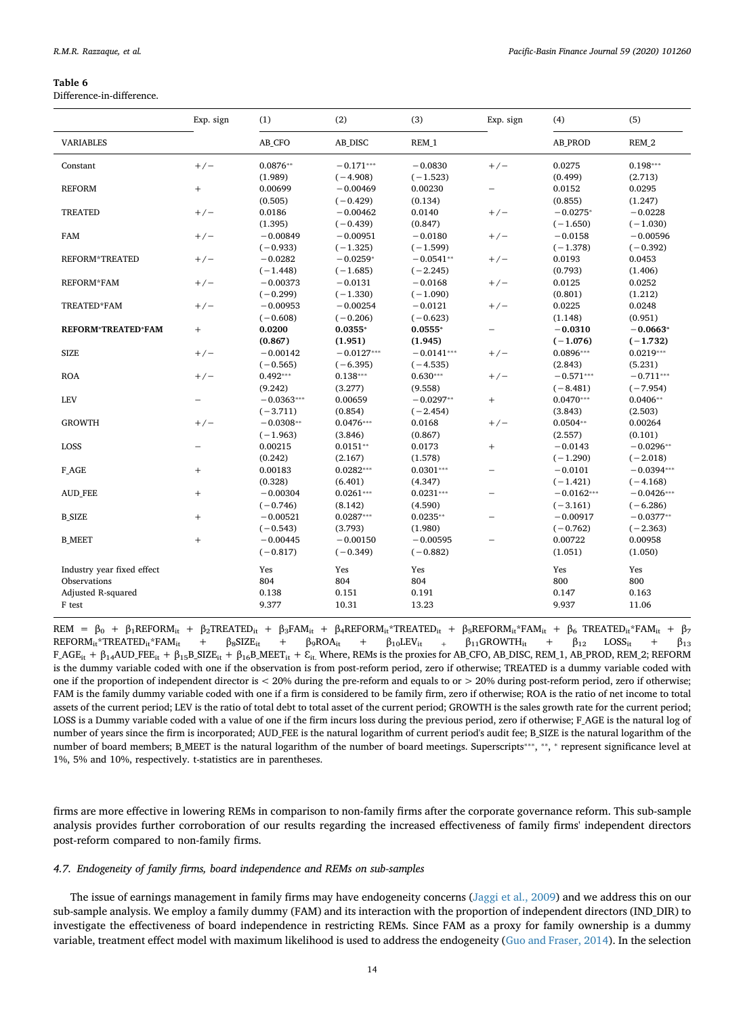<span id="page-13-0"></span>Difference-in-difference.

|                            | Exp. sign                | (1)          | (2)          | (3)          | Exp. sign                | (4)            | (5)          |
|----------------------------|--------------------------|--------------|--------------|--------------|--------------------------|----------------|--------------|
| <b>VARIABLES</b>           |                          | AB_CFO       | AB DISC      | REM 1        |                          | <b>AB PROD</b> | REM 2        |
| Constant                   | $+/-$                    | $0.0876**$   | $-0.171***$  | $-0.0830$    | $+/-$                    | 0.0275         | $0.198***$   |
|                            |                          | (1.989)      | $(-4.908)$   | $(-1.523)$   |                          | (0.499)        | (2.713)      |
| <b>REFORM</b>              | $^{+}$                   | 0.00699      | $-0.00469$   | 0.00230      | $\overline{\phantom{0}}$ | 0.0152         | 0.0295       |
|                            |                          | (0.505)      | $(-0.429)$   | (0.134)      |                          | (0.855)        | (1.247)      |
| <b>TREATED</b>             | $+/-$                    | 0.0186       | $-0.00462$   | 0.0140       | $+/-$                    | $-0.0275*$     | $-0.0228$    |
|                            |                          | (1.395)      | $(-0.439)$   | (0.847)      |                          | $(-1.650)$     | $(-1.030)$   |
| <b>FAM</b>                 | $+/-$                    | $-0.00849$   | $-0.00951$   | $-0.0180$    | $+/-$                    | $-0.0158$      | $-0.00596$   |
|                            |                          | $(-0.933)$   | $(-1.325)$   | $(-1.599)$   |                          | $(-1.378)$     | $(-0.392)$   |
| <b>REFORM*TREATED</b>      | $+/-$                    | $-0.0282$    | $-0.0259*$   | $-0.0541**$  | $+/-$                    | 0.0193         | 0.0453       |
|                            |                          | $(-1.448)$   | $(-1.685)$   | $(-2.245)$   |                          | (0.793)        | (1.406)      |
| <b>REFORM*FAM</b>          | $+/-$                    | $-0.00373$   | $-0.0131$    | $-0.0168$    | $+/-$                    | 0.0125         | 0.0252       |
|                            |                          | $(-0.299)$   | $(-1.330)$   | $(-1.090)$   |                          | (0.801)        | (1.212)      |
| TREATED*FAM                | $+/-$                    | $-0.00953$   | $-0.00254$   | $-0.0121$    | $+/-$                    | 0.0225         | 0.0248       |
|                            |                          | $(-0.608)$   | $(-0.206)$   | $(-0.623)$   |                          | (1.148)        | (0.951)      |
| <b>REFORM*TREATED*FAM</b>  | $+$                      | 0.0200       | $0.0355*$    | $0.0555*$    | $\overline{\phantom{0}}$ | $-0.0310$      | $-0.0663*$   |
|                            |                          | (0.867)      | (1.951)      | (1.945)      |                          | $(-1.076)$     | $(-1.732)$   |
| <b>SIZE</b>                | $+/-$                    | $-0.00142$   | $-0.0127***$ | $-0.0141***$ | $+/-$                    | $0.0896***$    | $0.0219***$  |
|                            |                          | $(-0.565)$   | $(-6.395)$   | $(-4.535)$   |                          | (2.843)        | (5.231)      |
| <b>ROA</b>                 | $+/-$                    | $0.492***$   | $0.138***$   | $0.630***$   | $+/-$                    | $-0.571***$    | $-0.711***$  |
|                            |                          | (9.242)      | (3.277)      | (9.558)      |                          | $(-8.481)$     | $(-7.954)$   |
| <b>LEV</b>                 |                          | $-0.0363***$ | 0.00659      | $-0.0297**$  | $^{+}$                   | $0.0470***$    | $0.0406**$   |
|                            |                          | $(-3.711)$   | (0.854)      | $(-2.454)$   |                          | (3.843)        | (2.503)      |
| <b>GROWTH</b>              | $+/-$                    | $-0.0308**$  | $0.0476***$  | 0.0168       | $+/-$                    | $0.0504**$     | 0.00264      |
|                            |                          | $(-1.963)$   | (3.846)      | (0.867)      |                          | (2.557)        | (0.101)      |
| LOSS                       | $\overline{\phantom{0}}$ | 0.00215      | $0.0151**$   | 0.0173       | $+$                      | $-0.0143$      | $-0.0296**$  |
|                            |                          | (0.242)      | (2.167)      | (1.578)      |                          | $(-1.290)$     | $(-2.018)$   |
| F_AGE                      | $\! + \!\!\!\!$          | 0.00183      | $0.0282***$  | $0.0301***$  | $\overline{\phantom{0}}$ | $-0.0101$      | $-0.0394***$ |
|                            |                          | (0.328)      | (6.401)      | (4.347)      |                          | $(-1.421)$     | $(-4.168)$   |
| <b>AUD_FEE</b>             | $\! + \!\!\!\!$          | $-0.00304$   | $0.0261***$  | $0.0231***$  | $\overline{\phantom{0}}$ | $-0.0162***$   | $-0.0426***$ |
|                            |                          | $(-0.746)$   | (8.142)      | (4.590)      |                          | $(-3.161)$     | $(-6.286)$   |
| <b>B_SIZE</b>              | $\! + \!\!\!\!$          | $-0.00521$   | $0.0287***$  | $0.0235**$   | $\overline{\phantom{0}}$ | $-0.00917$     | $-0.0377**$  |
|                            |                          | $(-0.543)$   | (3.793)      | (1.980)      |                          | $(-0.762)$     | $(-2.363)$   |
| <b>B MEET</b>              | $+$                      | $-0.00445$   | $-0.00150$   | $-0.00595$   | $\equiv$                 | 0.00722        | 0.00958      |
|                            |                          | $(-0.817)$   | $(-0.349)$   | $(-0.882)$   |                          | (1.051)        | (1.050)      |
| Industry year fixed effect |                          | Yes          | Yes          | Yes          |                          | Yes            | Yes          |
| Observations               |                          | 804          | 804          | 804          |                          | 800            | 800          |
| Adjusted R-squared         |                          | 0.138        | 0.151        | 0.191        |                          | 0.147          | 0.163        |
| F test                     |                          | 9.377        | 10.31        | 13.23        |                          | 9.937          | 11.06        |
|                            |                          |              |              |              |                          |                |              |

 $\begin{array}{lcl}\n\mathsf{REM} & = & \beta_0 + \beta_1 \mathsf{REFORM}_{it} + \beta_2 \mathsf{TREATED}_{it} + \beta_3 \mathsf{FAM}_{it} + \beta_4 \mathsf{REFORM}_{it} \text{*} \mathsf{TREATED}_{it} + \beta_5 \mathsf{REFORM}_{it} \text{*} \mathsf{FAM}_{it} + \beta_6 \mathsf{TREATED}_{it} \text{*} \mathsf{FAM}_{it} + \beta_7\\
\mathsf{REFORM}_{it} \text{*} \mathsf{TREATED}_{it} \text{*} \mathsf{FAM}_{it} & = & \beta_6 \mathsf{SIZE}_{it} + \beta_7 \mathsf{SIOA}_{it$  $\text{REFORM}_{it}^* \text{TREATEL}_{it}^* \text{FAM}_{it} \quad + \quad \beta_8 \text{SIZE}_{it} \quad + \quad \beta_9 \text{ROA}_{it} \quad + \quad \beta_{10} \text{LEV}_{it} \quad + \quad \beta_{11} \text{GROWTH}_{it} \quad + \quad \beta_{12} \quad \text{LOSS}_{it} \quad + \quad \beta_{13} \quad \text{SISES}$  $F\_AGE_{it} + \beta_{14}AUD\_FEE_{it} + \beta_{15}B\_SIZE_{it} + \beta_{16}B\_MEET_{it} + \varepsilon_{it}$ . Where, REMs is the proxies for AB\_CFO, AB\_DISC, REM\_1, AB\_PROD, REM\_2; REFORM is the dummy variable coded with one if the observation is from post-reform period, zero if otherwise; TREATED is a dummy variable coded with one if the proportion of independent director is  $\langle 20\%$  during the pre-reform and equals to or  $\langle 20\%$  during post-reform period, zero if otherwise; FAM is the family dummy variable coded with one if a firm is considered to be family firm, zero if otherwise; ROA is the ratio of net income to total assets of the current period; LEV is the ratio of total debt to total asset of the current period; GROWTH is the sales growth rate for the current period; LOSS is a Dummy variable coded with a value of one if the firm incurs loss during the previous period, zero if otherwise; F\_AGE is the natural log of number of years since the firm is incorporated; AUD\_FEE is the natural logarithm of current period's audit fee; B\_SIZE is the natural logarithm of the number of board members; B\_MEET is the natural logarithm of the number of board meetings. Superscripts<sup>\*\*\*</sup>, \*\*, \* represent significance level at 1%, 5% and 10%, respectively. t-statistics are in parentheses.

firms are more effective in lowering REMs in comparison to non-family firms after the corporate governance reform. This sub-sample analysis provides further corroboration of our results regarding the increased effectiveness of family firms' independent directors post-reform compared to non-family firms.

#### *4.7. Endogeneity of family firms, board independence and REMs on sub-samples*

The issue of earnings management in family firms may have endogeneity concerns ([Jaggi et al., 2009](#page-20-7)) and we address this on our sub-sample analysis. We employ a family dummy (FAM) and its interaction with the proportion of independent directors (IND\_DIR) to investigate the effectiveness of board independence in restricting REMs. Since FAM as a proxy for family ownership is a dummy variable, treatment effect model with maximum likelihood is used to address the endogeneity ([Guo and Fraser, 2014\)](#page-20-22). In the selection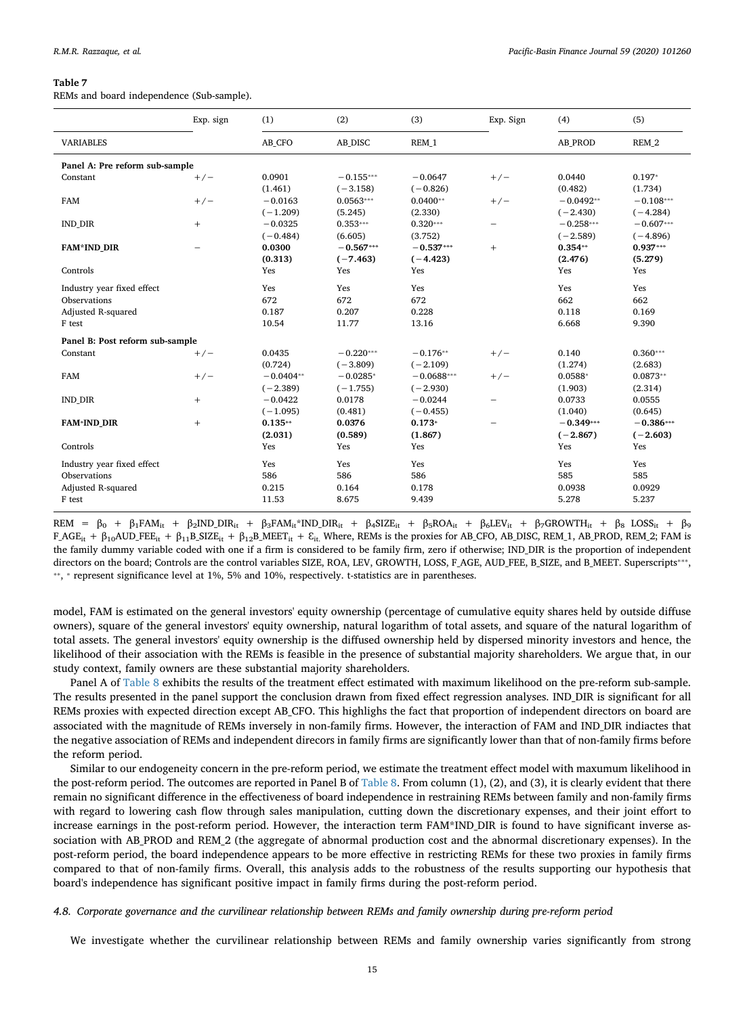<span id="page-14-0"></span>REMs and board independence (Sub-sample).

|                                                                            | Exp. sign | (1)                          | (2)                          | (3)                          | Exp. Sign | (4)                           | (5)                           |
|----------------------------------------------------------------------------|-----------|------------------------------|------------------------------|------------------------------|-----------|-------------------------------|-------------------------------|
| <b>VARIABLES</b>                                                           |           | AB CFO                       | AB DISC                      | REM 1                        |           | <b>AB PROD</b>                | REM 2                         |
| Panel A: Pre reform sub-sample                                             |           |                              |                              |                              |           |                               |                               |
| Constant                                                                   | $+/-$     | 0.0901<br>(1.461)            | $-0.155***$<br>$(-3.158)$    | $-0.0647$<br>$(-0.826)$      | $+/-$     | 0.0440<br>(0.482)             | $0.197*$<br>(1.734)           |
| <b>FAM</b>                                                                 | $+/-$     | $-0.0163$<br>$(-1.209)$      | $0.0563***$<br>(5.245)       | $0.0400**$<br>(2.330)        | $+/-$     | $-0.0492**$<br>$(-2.430)$     | $-0.108***$<br>$(-4.284)$     |
| <b>IND_DIR</b>                                                             | $+$       | $-0.0325$<br>$(-0.484)$      | $0.353***$<br>(6.605)        | $0.320***$<br>(3.752)        |           | $-0.258***$<br>$(-2.589)$     | $-0.607***$<br>$(-4.896)$     |
| <b>FAM*IND_DIR</b>                                                         | -         | 0.0300<br>(0.313)            | $-0.567***$<br>$(-7.463)$    | $-0.537***$<br>$(-4.423)$    | $+$       | $0.354**$<br>(2.476)          | $0.937***$<br>(5.279)         |
| Controls                                                                   |           | Yes                          | Yes                          | Yes                          |           | Yes                           | Yes                           |
| Industry year fixed effect<br>Observations<br>Adjusted R-squared<br>F test |           | Yes<br>672<br>0.187<br>10.54 | Yes<br>672<br>0.207<br>11.77 | Yes<br>672<br>0.228<br>13.16 |           | Yes<br>662<br>0.118<br>6.668  | Yes<br>662<br>0.169<br>9.390  |
| Panel B: Post reform sub-sample                                            |           |                              |                              |                              |           |                               |                               |
| Constant                                                                   | $+/-$     | 0.0435<br>(0.724)            | $-0.220***$<br>$(-3.809)$    | $-0.176**$<br>$(-2.109)$     | $+/-$     | 0.140<br>(1.274)              | $0.360***$<br>(2.683)         |
| FAM                                                                        | $+/-$     | $-0.0404**$<br>$(-2.389)$    | $-0.0285*$<br>$(-1.755)$     | $-0.0688***$<br>$(-2.930)$   | $+/-$     | $0.0588*$<br>(1.903)          | $0.0873**$<br>(2.314)         |
| <b>IND DIR</b>                                                             | $^{+}$    | $-0.0422$<br>$(-1.095)$      | 0.0178<br>(0.481)            | $-0.0244$<br>$(-0.455)$      | -         | 0.0733<br>(1.040)             | 0.0555<br>(0.645)             |
| <b>FAM*IND DIR</b>                                                         | $^{+}$    | $0.135**$<br>(2.031)         | 0.0376<br>(0.589)            | $0.173*$<br>(1.867)          |           | $-0.349***$<br>$(-2.867)$     | $-0.386***$<br>$(-2.603)$     |
| Controls                                                                   |           | Yes                          | Yes                          | Yes                          |           | Yes                           | Yes                           |
| Industry year fixed effect<br>Observations<br>Adjusted R-squared<br>F test |           | Yes<br>586<br>0.215<br>11.53 | Yes<br>586<br>0.164<br>8.675 | Yes<br>586<br>0.178<br>9.439 |           | Yes<br>585<br>0.0938<br>5.278 | Yes<br>585<br>0.0929<br>5.237 |

REM =  $β_0$  +  $β_1FAM_{it}$  +  $β_2IND_$  DIR<sub>it</sub> +  $β_3FAM_{it}$ \*IND\_DIR<sub>it</sub> +  $β_4SIZE_{it}$  +  $β_5ROA_{it}$  +  $β_6LEV_{it}$  +  $β_7GROWTH_{it}$  +  $β_8$  LOSS<sub>it</sub> +  $β_9$  $F\_AGE_{it} + \beta_{10}AUD\_FEE_{it} + \beta_{11}B\_SIZE_{it} + \beta_{12}B\_MERTi_{it} + \varepsilon_{it}$ . Where, REMs is the proxies for AB\_CFO, AB\_DISC, REM\_1, AB\_PROD, REM\_2; FAM is the family dummy variable coded with one if a firm is considered to be family firm, zero if otherwise; IND\_DIR is the proportion of independent directors on the board; Controls are the control variables SIZE, ROA, LEV, GROWTH, LOSS, F\_AGE, AUD\_FEE, B\_SIZE, and B\_MEET. Superscripts<sup>\*\*\*</sup>, ⁎⁎, ⁎ represent significance level at 1%, 5% and 10%, respectively. t-statistics are in parentheses.

model, FAM is estimated on the general investors' equity ownership (percentage of cumulative equity shares held by outside diffuse owners), square of the general investors' equity ownership, natural logarithm of total assets, and square of the natural logarithm of total assets. The general investors' equity ownership is the diffused ownership held by dispersed minority investors and hence, the likelihood of their association with the REMs is feasible in the presence of substantial majority shareholders. We argue that, in our study context, family owners are these substantial majority shareholders.

Panel A of [Table 8](#page-15-0) exhibits the results of the treatment effect estimated with maximum likelihood on the pre-reform sub-sample. The results presented in the panel support the conclusion drawn from fixed effect regression analyses. IND\_DIR is significant for all REMs proxies with expected direction except AB\_CFO. This highlighs the fact that proportion of independent directors on board are associated with the magnitude of REMs inversely in non-family firms. However, the interaction of FAM and IND\_DIR indiactes that the negative association of REMs and independent direcors in family firms are significantly lower than that of non-family firms before the reform period.

Similar to our endogeneity concern in the pre-reform period, we estimate the treatment effect model with maxumum likelihood in the post-reform period. The outcomes are reported in Panel B of [Table 8](#page-15-0). From column (1), (2), and (3), it is clearly evident that there remain no significant difference in the effectiveness of board independence in restraining REMs between family and non-family firms with regard to lowering cash flow through sales manipulation, cutting down the discretionary expenses, and their joint effort to increase earnings in the post-reform period. However, the interaction term FAM\*IND\_DIR is found to have significant inverse association with AB\_PROD and REM\_2 (the aggregate of abnormal production cost and the abnormal discretionary expenses). In the post-reform period, the board independence appears to be more effective in restricting REMs for these two proxies in family firms compared to that of non-family firms. Overall, this analysis adds to the robustness of the results supporting our hypothesis that board's independence has significant positive impact in family firms during the post-reform period.

#### *4.8. Corporate governance and the curvilinear relationship between REMs and family ownership during pre-reform period*

We investigate whether the curvilinear relationship between REMs and family ownership varies significantly from strong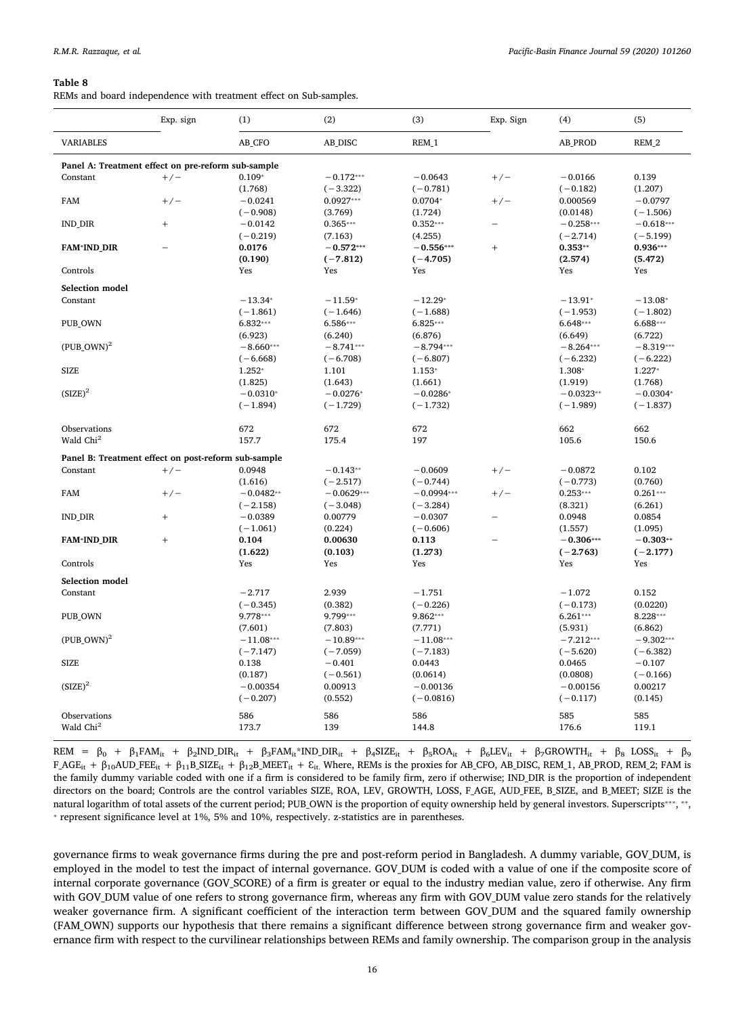<span id="page-15-0"></span>REMs and board independence with treatment effect on Sub-samples.

|                                                     | Exp. sign                        | (1)                  | (2)                 | (3)                    | Exp. Sign                | (4)                  | (5)                    |
|-----------------------------------------------------|----------------------------------|----------------------|---------------------|------------------------|--------------------------|----------------------|------------------------|
| <b>VARIABLES</b>                                    |                                  | AB_CFO               | AB_DISC             | REM_1                  |                          | <b>AB_PROD</b>       | REM_2                  |
| Panel A: Treatment effect on pre-reform sub-sample  |                                  |                      |                     |                        |                          |                      |                        |
| Constant                                            | $+/-$                            | $0.109*$             | $-0.172***$         | $-0.0643$              | $+/-$                    | $-0.0166$            | 0.139                  |
|                                                     |                                  | (1.768)              | $(-3.322)$          | $(-0.781)$             |                          | $(-0.182)$           | (1.207)                |
| <b>FAM</b>                                          | $+/-$                            | $-0.0241$            | $0.0927***$         | $0.0704*$              | $+/-$                    | 0.000569             | $-0.0797$              |
|                                                     |                                  | $(-0.908)$           | (3.769)             | (1.724)                |                          | (0.0148)             | $(-1.506)$             |
| <b>IND DIR</b>                                      | $+$                              | $-0.0142$            | $0.365***$          | $0.352***$             |                          | $-0.258***$          | $-0.618***$            |
|                                                     |                                  | $(-0.219)$           | (7.163)             | (4.255)                |                          | $(-2.714)$           | $(-5.199)$             |
| <b>FAM*IND DIR</b>                                  |                                  | 0.0176               | $-0.572***$         | $-0.556***$            | $\qquad \qquad +$        | $0.353**$            | $0.936***$             |
| Controls                                            |                                  | (0.190)              | $(-7.812)$          | $(-4.705)$<br>Yes      |                          | (2.574)<br>Yes       | (5.472)<br>Yes         |
|                                                     |                                  | Yes                  | Yes                 |                        |                          |                      |                        |
| Selection model                                     |                                  |                      |                     |                        |                          |                      |                        |
| Constant                                            |                                  | $-13.34*$            | $-11.59*$           | $-12.29*$              |                          | $-13.91*$            | $-13.08*$              |
|                                                     |                                  | $(-1.861)$           | $(-1.646)$          | $(-1.688)$             |                          | $(-1.953)$           | $(-1.802)$             |
| PUB_OWN                                             |                                  | $6.832***$           | $6.586***$          | $6.825***$             |                          | $6.648***$           | $6.688***$             |
|                                                     |                                  | (6.923)              | (6.240)             | (6.876)                |                          | (6.649)              | (6.722)                |
| $(PUB\text{ OWN})^2$                                |                                  | $-8.660***$          | $-8.741***$         | $-8.794***$            |                          | $-8.264***$          | $-8.319***$            |
| <b>SIZE</b>                                         |                                  | $(-6.668)$<br>1.252* | $(-6.708)$<br>1.101 | $(-6.807)$<br>$1.153*$ |                          | $(-6.232)$<br>1.308* | $(-6.222)$<br>$1.227*$ |
|                                                     |                                  | (1.825)              | (1.643)             | (1.661)                |                          | (1.919)              | (1.768)                |
| $(SIZE)^2$                                          |                                  | $-0.0310*$           | $-0.0276*$          | $-0.0286*$             |                          | $-0.0323**$          | $-0.0304*$             |
|                                                     |                                  | $(-1.894)$           | $(-1.729)$          | $(-1.732)$             |                          | $(-1.989)$           | $(-1.837)$             |
|                                                     |                                  |                      |                     |                        |                          |                      |                        |
| Observations                                        |                                  | 672                  | 672                 | 672                    |                          | 662                  | 662                    |
| Wald Chi <sup>2</sup>                               |                                  | 157.7                | 175.4               | 197                    |                          | 105.6                | 150.6                  |
| Panel B: Treatment effect on post-reform sub-sample |                                  |                      |                     |                        |                          |                      |                        |
| Constant                                            | $+/-$                            | 0.0948               | $-0.143**$          | $-0.0609$              | $+/-$                    | $-0.0872$            | 0.102                  |
|                                                     |                                  | (1.616)              | $(-2.517)$          | $(-0.744)$             |                          | $(-0.773)$           | (0.760)                |
| FAM                                                 | $+/-$                            | $-0.0482**$          | $-0.0629***$        | $-0.0994***$           | $+/-$                    | $0.253***$           | $0.261***$             |
|                                                     |                                  | $(-2.158)$           | $(-3.048)$          | $(-3.284)$             |                          | (8.321)              | (6.261)                |
| <b>IND DIR</b>                                      | $\begin{array}{c} + \end{array}$ | $-0.0389$            | 0.00779             | $-0.0307$              | $\overline{\phantom{0}}$ | 0.0948               | 0.0854                 |
|                                                     |                                  | $(-1.061)$           | (0.224)             | $(-0.606)$             |                          | (1.557)              | (1.095)                |
| <b>FAM*IND DIR</b>                                  | $+$                              | 0.104                | 0.00630             | 0.113                  |                          | $-0.306***$          | $-0.303**$             |
|                                                     |                                  | (1.622)              | (0.103)             | (1.273)                |                          | $(-2.763)$           | $(-2.177)$             |
| Controls                                            |                                  | Yes                  | Yes                 | Yes                    |                          | Yes                  | Yes                    |
| Selection model                                     |                                  |                      |                     |                        |                          |                      |                        |
| Constant                                            |                                  | $-2.717$             | 2.939               | $-1.751$               |                          | $-1.072$             | 0.152                  |
|                                                     |                                  | $(-0.345)$           | (0.382)             | $(-0.226)$             |                          | $(-0.173)$           | (0.0220)               |
| PUB_OWN                                             |                                  | 9.778***             | 9.799***            | 9.862***               |                          | $6.261***$           | 8.228***               |
|                                                     |                                  | (7.601)              | (7.803)             | (7.771)                |                          | (5.931)              | (6.862)                |
| $(PUB\text{ OWN})^2$                                |                                  | $-11.08***$          | $-10.89***$         | $-11.08***$            |                          | $-7.212***$          | $-9.302***$            |
|                                                     |                                  | $(-7.147)$           | $(-7.059)$          | $(-7.183)$             |                          | $(-5.620)$           | $(-6.382)$             |
| <b>SIZE</b>                                         |                                  | 0.138                | $-0.401$            | 0.0443                 |                          | 0.0465               | $-0.107$               |
|                                                     |                                  | (0.187)              | $(-0.561)$          | (0.0614)               |                          | (0.0808)             | $(-0.166)$             |
| $(SIZE)^2$                                          |                                  | $-0.00354$           | 0.00913             | $-0.00136$             |                          | $-0.00156$           | 0.00217                |
|                                                     |                                  | $(-0.207)$           | (0.552)             | $(-0.0816)$            |                          | $(-0.117)$           | (0.145)                |
| Observations                                        |                                  | 586                  | 586                 | 586                    |                          | 585                  | 585                    |
| Wald Chi <sup>2</sup>                               |                                  | 173.7                | 139                 | 144.8                  |                          | 176.6                | 119.1                  |
|                                                     |                                  |                      |                     |                        |                          |                      |                        |

REM =  $β_0$  +  $β_1FAM_{it}$  +  $β_2IND_DR_{it}$  +  $β_3FAM_{it}^*IND_DR_{it}$  +  $β_4SIZE_{it}$  +  $β_5ROA_{it}$  +  $β_6EV_{it}$  +  $β_7GROWTH_{it}$  +  $β_8 LOS_{it}$  +  $β_9$  $F\_AGE_{it} + \beta_{10}AUD\_FEE_{it} + \beta_{11}B\_SIZE_{it} + \beta_{12}B\_MEET_{it} + \varepsilon_{it}$ . Where, REMs is the proxies for AB\_CFO, AB\_DISC, REM\_1, AB\_PROD, REM\_2; FAM is the family dummy variable coded with one if a firm is considered to be family firm, zero if otherwise; IND\_DIR is the proportion of independent directors on the board; Controls are the control variables SIZE, ROA, LEV, GROWTH, LOSS, F\_AGE, AUD\_FEE, B\_SIZE, and B\_MEET; SIZE is the natural logarithm of total assets of the current period; PUB\_OWN is the proportion of equity ownership held by general investors. Superscripts<sup>\*\*\*</sup>, \*\*, ⁎ represent significance level at 1%, 5% and 10%, respectively. z-statistics are in parentheses.

governance firms to weak governance firms during the pre and post-reform period in Bangladesh. A dummy variable, GOV\_DUM, is employed in the model to test the impact of internal governance. GOV\_DUM is coded with a value of one if the composite score of internal corporate governance (GOV\_SCORE) of a firm is greater or equal to the industry median value, zero if otherwise. Any firm with GOV\_DUM value of one refers to strong governance firm, whereas any firm with GOV\_DUM value zero stands for the relatively weaker governance firm. A significant coefficient of the interaction term between GOV\_DUM and the squared family ownership (FAM\_OWN) supports our hypothesis that there remains a significant difference between strong governance firm and weaker governance firm with respect to the curvilinear relationships between REMs and family ownership. The comparison group in the analysis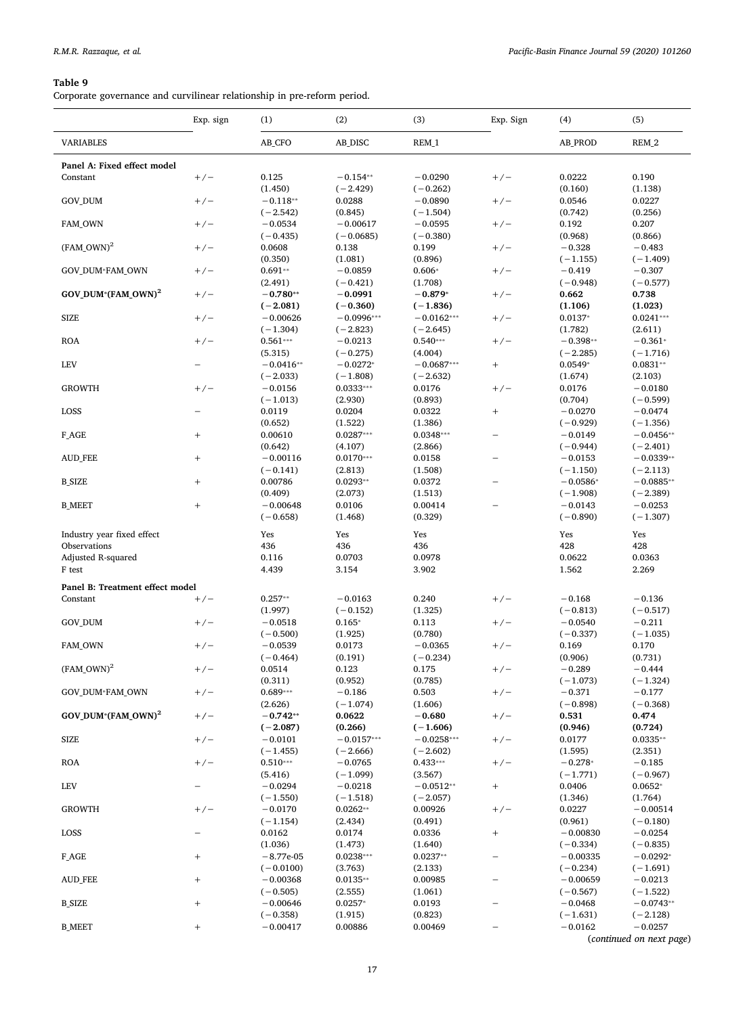<span id="page-16-0"></span>Corporate governance and curvilinear relationship in pre-reform period.

|                                 | Exp. sign         | (1)                      | (2)                     | (3)                      | Exp. Sign                | (4)                  | (5)                 |
|---------------------------------|-------------------|--------------------------|-------------------------|--------------------------|--------------------------|----------------------|---------------------|
| <b>VARIABLES</b>                |                   | AB_CFO                   | AB_DISC                 | REM_1                    |                          | AB_PROD              | REM_2               |
| Panel A: Fixed effect model     |                   |                          |                         |                          |                          |                      |                     |
| Constant                        | $+/-$             | 0.125                    | $-0.154**$              | $-0.0290$                | $+/-$                    | 0.0222               | 0.190               |
|                                 |                   | (1.450)                  | $(-2.429)$              | $(-0.262)$               |                          | (0.160)              | (1.138)             |
| GOV_DUM                         | $+/-$             | $-0.118**$               | 0.0288                  | $-0.0890$                | $+/-$                    | 0.0546               | 0.0227              |
|                                 |                   | $(-2.542)$               | (0.845)                 | $(-1.504)$               |                          | (0.742)              | (0.256)             |
| FAM_OWN                         | $+/-$             | $-0.0534$                | $-0.00617$              | $-0.0595$                | $+/-$                    | 0.192                | 0.207               |
|                                 |                   | $(-0.435)$               | $(-0.0685)$             | $(-0.380)$               |                          | (0.968)              | (0.866)             |
| $(FAM\text{ OWN})^2$            | $+/-$             | 0.0608                   | 0.138                   | 0.199                    | $+/-$                    | $-0.328$             | $-0.483$            |
|                                 |                   | (0.350)                  | (1.081)                 | (0.896)                  |                          | $(-1.155)$           | $(-1.409)$          |
| GOV_DUM*FAM_OWN                 | $+/-$             | $0.691**$                | $-0.0859$               | $0.606*$                 | $+/-$                    | $-0.419$             | $-0.307$            |
| GOV DUM*(FAM OWN) <sup>2</sup>  |                   | (2.491)<br>$-0.780**$    | $(-0.421)$              | (1.708)<br>$-0.879*$     |                          | $(-0.948)$<br>0.662  | $(-0.577)$<br>0.738 |
|                                 | $+/-$             | $(-2.081)$               | $-0.0991$<br>$(-0.360)$ | $(-1.836)$               | $+/-$                    | (1.106)              | (1.023)             |
| <b>SIZE</b>                     | $+/-$             | $-0.00626$               | $-0.0996***$            | $-0.0162***$             | $+/-$                    | $0.0137*$            | $0.0241***$         |
|                                 |                   | $(-1.304)$               | $(-2.823)$              | $(-2.645)$               |                          | (1.782)              | (2.611)             |
| <b>ROA</b>                      | $+/-$             | $0.561***$               | $-0.0213$               | $0.540***$               | $+/-$                    | $-0.398**$           | $-0.361*$           |
|                                 |                   | (5.315)                  | $(-0.275)$              | (4.004)                  |                          | $(-2.285)$           | $(-1.716)$          |
| <b>LEV</b>                      |                   | $-0.0416**$              | $-0.0272*$              | $-0.0687***$             | $^{+}$                   | $0.0549*$            | $0.0831**$          |
|                                 |                   | $(-2.033)$               | $(-1.808)$              | $(-2.632)$               |                          | (1.674)              | (2.103)             |
| <b>GROWTH</b>                   | $+/-$             | $-0.0156$                | $0.0333***$             | 0.0176                   | $+/-$                    | 0.0176               | $-0.0180$           |
|                                 |                   | $(-1.013)$               | (2.930)                 | (0.893)                  |                          | (0.704)              | $(-0.599)$          |
| LOSS                            |                   | 0.0119                   | 0.0204                  | 0.0322                   | $^{+}$                   | $-0.0270$            | $-0.0474$           |
|                                 |                   | (0.652)                  | (1.522)                 | (1.386)                  |                          | $(-0.929)$           | $(-1.356)$          |
| F_AGE                           | $^{+}$            | 0.00610                  | $0.0287***$             | $0.0348***$              | $\overline{\phantom{0}}$ | $-0.0149$            | $-0.0456**$         |
|                                 |                   | (0.642)                  | (4.107)                 | (2.866)                  |                          | $(-0.944)$           | $(-2.401)$          |
| <b>AUD_FEE</b>                  | $^{+}$            | $-0.00116$               | $0.0170***$             | 0.0158                   | $\overline{\phantom{0}}$ | $-0.0153$            | $-0.0339**$         |
|                                 |                   | $(-0.141)$               | (2.813)                 | (1.508)                  |                          | $(-1.150)$           | $(-2.113)$          |
| <b>B_SIZE</b>                   | $^{+}$            | 0.00786                  | $0.0293**$              | 0.0372                   |                          | $-0.0586*$           | $-0.0885**$         |
|                                 |                   | (0.409)                  | (2.073)                 | (1.513)                  |                          | $(-1.908)$           | $(-2.389)$          |
| <b>B_MEET</b>                   | $^{+}$            | $-0.00648$               | 0.0106                  | 0.00414                  |                          | $-0.0143$            | $-0.0253$           |
|                                 |                   | $(-0.658)$               | (1.468)                 | (0.329)                  |                          | $(-0.890)$           | $(-1.307)$          |
| Industry year fixed effect      |                   | Yes                      | Yes                     | Yes                      |                          | Yes                  | Yes                 |
| Observations                    |                   | 436                      | 436                     | 436                      |                          | 428                  | 428                 |
| Adjusted R-squared              |                   | 0.116                    | 0.0703                  | 0.0978                   |                          | 0.0622               | 0.0363              |
| F test                          |                   | 4.439                    | 3.154                   | 3.902                    |                          | 1.562                | 2.269               |
| Panel B: Treatment effect model |                   |                          |                         |                          |                          |                      |                     |
| Constant                        | $+/-$             | $0.257**$                | $-0.0163$               | 0.240                    | $+/-$                    | $-0.168$             | $-0.136$            |
|                                 |                   | (1.997)                  | $(-0.152)$              | (1.325)                  |                          | $(-0.813)$           | $(-0.517)$          |
| GOV_DUM                         | $+/-$             | $-0.0518$                | $0.165*$                | 0.113                    | $+/-$                    | $-0.0540$            | $-0.211$            |
|                                 |                   | $(-0.500)$               | (1.925)                 | (0.780)                  |                          | $(-0.337)$           | $(-1.035)$          |
| <b>FAM OWN</b>                  | $+/-$             | $-0.0539$                | 0.0173                  | $-0.0365$                | $+/-$                    | 0.169                | 0.170               |
|                                 |                   | $(-0.464)$               | (0.191)                 | $(-0.234)$               |                          | (0.906)              | (0.731)             |
| $(FAM_OWN)^2$                   | $+/-$             | 0.0514                   | 0.123                   | 0.175                    | $+/-$                    | $-0.289$             | $-0.444$            |
|                                 |                   | (0.311)                  | (0.952)                 | (0.785)                  |                          | $(-1.073)$           | $(-1.324)$          |
| GOV_DUM*FAM_OWN                 | $+/-$             | $0.689***$               | $-0.186$                | 0.503                    | $+/-$                    | $-0.371$             | $-0.177$            |
|                                 |                   | (2.626)                  | $(-1.074)$              | (1.606)                  |                          | $(-0.898)$           | $(-0.368)$          |
| GOV_DUM*(FAM_OWN) <sup>2</sup>  | $+/-$             | $-0.742**$               | 0.0622                  | $-0.680$                 | $+/-$                    | 0.531                | 0.474               |
|                                 |                   | $(-2.087)$               | (0.266)                 | $(-1.606)$               |                          | (0.946)              | (0.724)             |
| <b>SIZE</b>                     | $+/-$             | $-0.0101$                | $-0.0157***$            | $-0.0258***$             | $+/-$                    | 0.0177               | $0.0335**$          |
| <b>ROA</b>                      |                   | $(-1.455)$<br>$0.510***$ | $(-2.666)$<br>$-0.0765$ | $(-2.602)$<br>$0.433***$ |                          | (1.595)<br>$-0.278*$ | (2.351)<br>$-0.185$ |
|                                 | $+/-$             | (5.416)                  | $(-1.099)$              | (3.567)                  | $+/-$                    | $(-1.771)$           | $(-0.967)$          |
| <b>LEV</b>                      |                   | $-0.0294$                | $-0.0218$               | $-0.0512**$              | $\! +$                   | 0.0406               | $0.0652*$           |
|                                 |                   | $(-1.550)$               | $(-1.518)$              | $(-2.057)$               |                          | (1.346)              | (1.764)             |
| <b>GROWTH</b>                   | $+/-$             | $-0.0170$                | $0.0262**$              | 0.00926                  | $+/-$                    | 0.0227               | $-0.00514$          |
|                                 |                   | $(-1.154)$               | (2.434)                 | (0.491)                  |                          | (0.961)              | $(-0.180)$          |
| LOSS                            |                   | 0.0162                   | 0.0174                  | 0.0336                   | $\! +$                   | $-0.00830$           | $-0.0254$           |
|                                 |                   | (1.036)                  | (1.473)                 | (1.640)                  |                          | $(-0.334)$           | $(-0.835)$          |
| $F_AGE$                         | $\qquad \qquad +$ | $-8.77e-05$              | $0.0238***$             | $0.0237**$               | -                        | $-0.00335$           | $-0.0292*$          |
|                                 |                   | $(-0.0100)$              | (3.763)                 | (2.133)                  |                          | $(-0.234)$           | $(-1.691)$          |
| <b>AUD_FEE</b>                  | $^{+}$            | $-0.00368$               | $0.0135**$              | 0.00985                  | -                        | $-0.00659$           | $-0.0213$           |
|                                 |                   | $(-0.505)$               | (2.555)                 | (1.061)                  |                          | $(-0.567)$           | $(-1.522)$          |
| <b>B_SIZE</b>                   | $^{+}$            | $-0.00646$               | $0.0257*$               | 0.0193                   |                          | $-0.0468$            | $-0.0743**$         |
|                                 |                   | $(-0.358)$               | (1.915)                 | (0.823)                  |                          | $(-1.631)$           | $(-2.128)$          |
| <b>B_MEET</b>                   | $^{+}$            | $-0.00417$               | 0.00886                 | 0.00469                  | -                        | $-0.0162$            | $-0.0257$           |
|                                 |                   |                          |                         |                          |                          |                      |                     |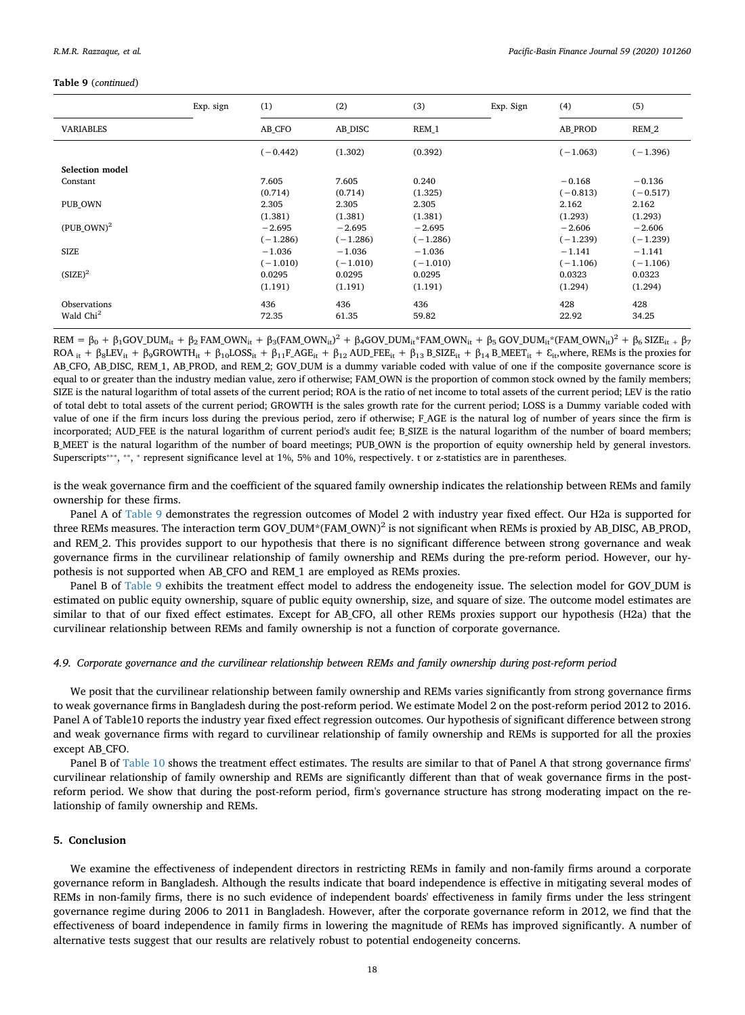# **Table 9** (*continued*)

|                       | Exp. sign | (1)        | (2)        | (3)        | Exp. Sign | (4)            | (5)        |
|-----------------------|-----------|------------|------------|------------|-----------|----------------|------------|
| <b>VARIABLES</b>      |           | AB CFO     | AB DISC    | REM 1      |           | <b>AB PROD</b> | REM 2      |
|                       |           | $(-0.442)$ | (1.302)    | (0.392)    |           | $(-1.063)$     | $(-1.396)$ |
| Selection model       |           |            |            |            |           |                |            |
| Constant              |           | 7.605      | 7.605      | 0.240      |           | $-0.168$       | $-0.136$   |
|                       |           | (0.714)    | (0.714)    | (1.325)    |           | $(-0.813)$     | $(-0.517)$ |
| PUB OWN               |           | 2.305      | 2.305      | 2.305      |           | 2.162          | 2.162      |
|                       |           | (1.381)    | (1.381)    | (1.381)    |           | (1.293)        | (1.293)    |
| $(PUB\text{ OWN})^2$  |           | $-2.695$   | $-2.695$   | $-2.695$   |           | $-2.606$       | $-2.606$   |
|                       |           | $(-1.286)$ | $(-1.286)$ | $(-1.286)$ |           | $(-1.239)$     | $(-1.239)$ |
| <b>SIZE</b>           |           | $-1.036$   | $-1.036$   | $-1.036$   |           | $-1.141$       | $-1.141$   |
|                       |           | $(-1.010)$ | $(-1.010)$ | $(-1.010)$ |           | $(-1.106)$     | $(-1.106)$ |
| $(SIZE)^2$            |           | 0.0295     | 0.0295     | 0.0295     |           | 0.0323         | 0.0323     |
|                       |           | (1.191)    | (1.191)    | (1.191)    |           | (1.294)        | (1.294)    |
| <b>Observations</b>   |           | 436        | 436        | 436        |           | 428            | 428        |
| Wald Chi <sup>2</sup> |           | 72.35      | 61.35      | 59.82      |           | 22.92          | 34.25      |

 $\text{REM} = \beta_0 + \beta_1 \text{GOV} \text{DUM}_{it} + \beta_2 \text{FAM\_OWN}_{it} + \beta_3 \text{(FAM\_OWN}_{it})^2 + \beta_4 \text{GOV} \text{DUM}_{it}^* \text{FAM\_OWN}_{it} + \beta_5 \text{GOV} \text{DUM}_{it}^* \text{(FAM\_OWN}_{it})^2 + \beta_6 \text{SIZE}_{it} + \beta_7 \text{GOM} \text{DUM}_{it}^* \text{FAM}_c \text{DWM}_{it}^*$ ROA it + β<sub>8</sub>LEV<sub>it</sub> + β<sub>9</sub>GROWTH<sub>it</sub> + β<sub>10</sub>LOSS<sub>it</sub> + β<sub>11</sub>F\_AGE<sub>it</sub> + β<sub>12</sub> AUD\_FEE<sub>it</sub> + β<sub>13</sub> B\_SIZE<sub>it</sub> + β<sub>14</sub> B\_MEET<sub>it</sub> + &<sub>it</sub>,where, REMs is the proxies for AB\_CFO, AB\_DISC, REM\_1, AB\_PROD, and REM\_2; GOV\_DUM is a dummy variable coded with value of one if the composite governance score is equal to or greater than the industry median value, zero if otherwise; FAM\_OWN is the proportion of common stock owned by the family members; SIZE is the natural logarithm of total assets of the current period; ROA is the ratio of net income to total assets of the current period; LEV is the ratio of total debt to total assets of the current period; GROWTH is the sales growth rate for the current period; LOSS is a Dummy variable coded with value of one if the firm incurs loss during the previous period, zero if otherwise; F\_AGE is the natural log of number of years since the firm is incorporated; AUD\_FEE is the natural logarithm of current period's audit fee; B\_SIZE is the natural logarithm of the number of board members; B\_MEET is the natural logarithm of the number of board meetings; PUB\_OWN is the proportion of equity ownership held by general investors. Superscripts<sup>\*\*\*</sup>, <sup>\*\*</sup>, \* represent significance level at 1%, 5% and 10%, respectively. t or z-statistics are in parentheses.

is the weak governance firm and the coefficient of the squared family ownership indicates the relationship between REMs and family ownership for these firms.

Panel A of [Table 9](#page-16-0) demonstrates the regression outcomes of Model 2 with industry year fixed effect. Our H2a is supported for three REMs measures. The interaction term GOV\_DUM\*(FAM\_OWN)<sup>2</sup> is not significant when REMs is proxied by AB\_DISC, AB\_PROD, and REM\_2. This provides support to our hypothesis that there is no significant difference between strong governance and weak governance firms in the curvilinear relationship of family ownership and REMs during the pre-reform period. However, our hypothesis is not supported when AB\_CFO and REM\_1 are employed as REMs proxies.

Panel B of [Table 9](#page-16-0) exhibits the treatment effect model to address the endogeneity issue. The selection model for GOV\_DUM is estimated on public equity ownership, square of public equity ownership, size, and square of size. The outcome model estimates are similar to that of our fixed effect estimates. Except for AB\_CFO, all other REMs proxies support our hypothesis (H2a) that the curvilinear relationship between REMs and family ownership is not a function of corporate governance.

# *4.9. Corporate governance and the curvilinear relationship between REMs and family ownership during post-reform period*

We posit that the curvilinear relationship between family ownership and REMs varies significantly from strong governance firms to weak governance firms in Bangladesh during the post-reform period. We estimate Model 2 on the post-reform period 2012 to 2016. Panel A of Table10 reports the industry year fixed effect regression outcomes. Our hypothesis of significant difference between strong and weak governance firms with regard to curvilinear relationship of family ownership and REMs is supported for all the proxies except AB\_CFO.

Panel B of [Table 10](#page-18-0) shows the treatment effect estimates. The results are similar to that of Panel A that strong governance firms' curvilinear relationship of family ownership and REMs are significantly different than that of weak governance firms in the postreform period. We show that during the post-reform period, firm's governance structure has strong moderating impact on the relationship of family ownership and REMs.

# <span id="page-17-0"></span>**5. Conclusion**

We examine the effectiveness of independent directors in restricting REMs in family and non-family firms around a corporate governance reform in Bangladesh. Although the results indicate that board independence is effective in mitigating several modes of REMs in non-family firms, there is no such evidence of independent boards' effectiveness in family firms under the less stringent governance regime during 2006 to 2011 in Bangladesh. However, after the corporate governance reform in 2012, we find that the effectiveness of board independence in family firms in lowering the magnitude of REMs has improved significantly. A number of alternative tests suggest that our results are relatively robust to potential endogeneity concerns.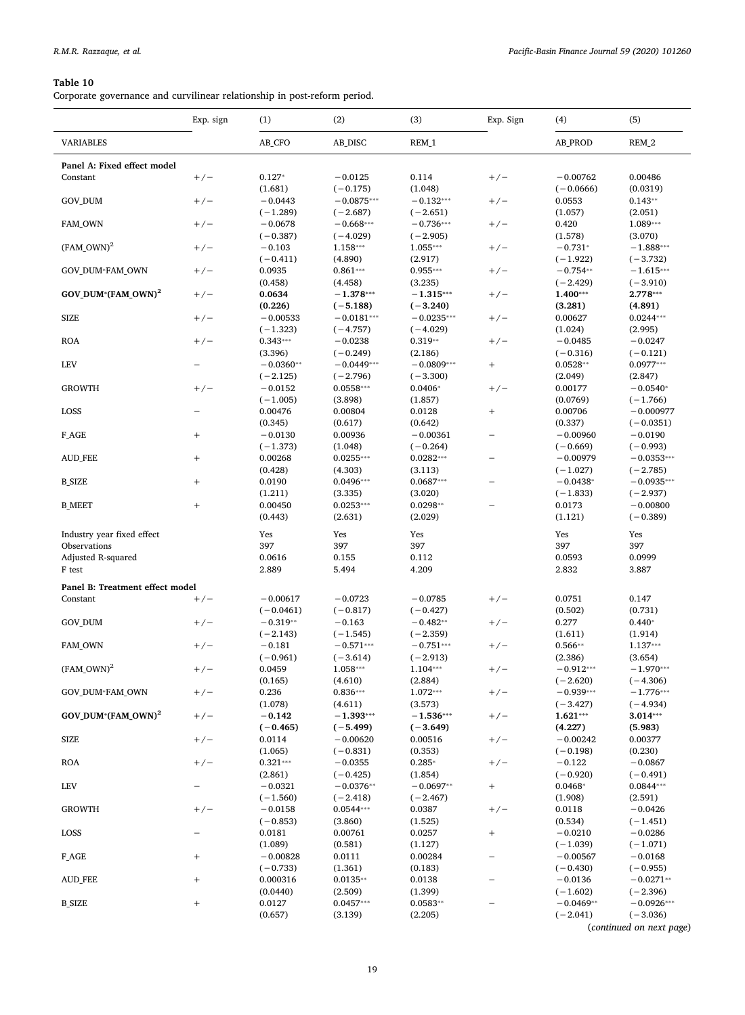<span id="page-18-0"></span>Corporate governance and curvilinear relationship in post-reform period.

|                                 | Exp. sign                | (1)         | (2)          | (3)          | Exp. Sign                        | (4)         | (5)          |
|---------------------------------|--------------------------|-------------|--------------|--------------|----------------------------------|-------------|--------------|
| <b>VARIABLES</b>                |                          | AB_CFO      | AB_DISC      | REM_1        |                                  | AB_PROD     | REM_2        |
| Panel A: Fixed effect model     |                          |             |              |              |                                  |             |              |
| Constant                        | $+/-$                    | $0.127*$    | $-0.0125$    | 0.114        | $+/-$                            | $-0.00762$  | 0.00486      |
|                                 |                          | (1.681)     | $(-0.175)$   | (1.048)      |                                  | $(-0.0666)$ | (0.0319)     |
| GOV_DUM                         | $+/-$                    | $-0.0443$   | $-0.0875***$ | $-0.132***$  | $+/-$                            | 0.0553      | $0.143**$    |
|                                 |                          | $(-1.289)$  | $(-2.687)$   | $(-2.651)$   |                                  | (1.057)     | (2.051)      |
| FAM_OWN                         | $+/-$                    | $-0.0678$   | $-0.668***$  | $-0.736***$  | $+/-$                            | 0.420       | 1.089***     |
|                                 |                          | $(-0.387)$  | $(-4.029)$   | $(-2.905)$   |                                  | (1.578)     | (3.070)      |
| $(FAM_OWN)^2$                   | $+/-$                    | $-0.103$    | 1.158***     | $1.055***$   | $+/-$                            | $-0.731*$   | $-1.888***$  |
|                                 |                          | $(-0.411)$  | (4.890)      | (2.917)      |                                  | $(-1.922)$  | $(-3.732)$   |
| <b>GOV DUM*FAM OWN</b>          | $+/-$                    | 0.0935      | $0.861***$   | $0.955***$   | $+/-$                            | $-0.754**$  | $-1.615***$  |
|                                 |                          | (0.458)     | (4.458)      | (3.235)      |                                  | $(-2.429)$  | $(-3.910)$   |
| GOV_DUM*(FAM_OWN) <sup>2</sup>  | $+/-$                    | 0.0634      | $-1.378***$  | $-1.315***$  | $+/-$                            | 1.400***    | $2.778***$   |
|                                 |                          | (0.226)     | $(-5.188)$   | $(-3.240)$   |                                  | (3.281)     | (4.891)      |
| <b>SIZE</b>                     | $+/-$                    | $-0.00533$  | $-0.0181***$ | $-0.0235***$ | $+/-$                            | 0.00627     | $0.0244***$  |
|                                 |                          | $(-1.323)$  | $(-4.757)$   | $(-4.029)$   |                                  | (1.024)     | (2.995)      |
| <b>ROA</b>                      | $+/-$                    | $0.343***$  | $-0.0238$    | $0.319**$    | $+/-$                            | $-0.0485$   | $-0.0247$    |
|                                 |                          | (3.396)     | $(-0.249)$   | (2.186)      |                                  | $(-0.316)$  | $(-0.121)$   |
| LEV                             |                          | $-0.0360**$ | $-0.0449***$ | $-0.0809***$ |                                  | $0.0528**$  | $0.0977***$  |
|                                 |                          | $(-2.125)$  | $(-2.796)$   | $(-3.300)$   |                                  | (2.049)     | (2.847)      |
| <b>GROWTH</b>                   | $+/-$                    | $-0.0152$   | $0.0558***$  | $0.0406*$    | $+/-$                            | 0.00177     | $-0.0540*$   |
|                                 |                          | $(-1.005)$  | (3.898)      | (1.857)      |                                  | (0.0769)    | $(-1.766)$   |
| LOSS                            | $\overline{\phantom{0}}$ | 0.00476     | 0.00804      | 0.0128       | $\! + \!\!\!\!$                  | 0.00706     | $-0.000977$  |
|                                 |                          | (0.345)     | (0.617)      | (0.642)      |                                  | (0.337)     | $(-0.0351)$  |
| F_AGE                           | $^{+}$                   | $-0.0130$   | 0.00936      | $-0.00361$   | $\overline{\phantom{0}}$         | $-0.00960$  | $-0.0190$    |
|                                 |                          | $(-1.373)$  | (1.048)      | $(-0.264)$   |                                  | $(-0.669)$  | $(-0.993)$   |
| <b>AUD FEE</b>                  | $\! +$                   | 0.00268     | $0.0255***$  | $0.0282***$  | $\overline{\phantom{0}}$         | $-0.00979$  | $-0.0353***$ |
|                                 |                          | (0.428)     | (4.303)      | (3.113)      |                                  | $(-1.027)$  | $(-2.785)$   |
| <b>B_SIZE</b>                   | $^{+}$                   | 0.0190      | $0.0496***$  | $0.0687***$  | $\overline{\phantom{0}}$         | $-0.0438*$  | $-0.0935***$ |
|                                 |                          | (1.211)     | (3.335)      | (3.020)      |                                  | $(-1.833)$  | $(-2.937)$   |
| <b>B_MEET</b>                   | $\! +$                   | 0.00450     | $0.0253***$  | $0.0298**$   |                                  | 0.0173      | $-0.00800$   |
|                                 |                          | (0.443)     | (2.631)      | (2.029)      |                                  | (1.121)     | $(-0.389)$   |
| Industry year fixed effect      |                          | Yes         | Yes          | Yes          |                                  | Yes         | Yes          |
| Observations                    |                          | 397         | 397          | 397          |                                  | 397         | 397          |
| Adjusted R-squared              |                          | 0.0616      | 0.155        | 0.112        |                                  | 0.0593      | 0.0999       |
| F test                          |                          | 2.889       | 5.494        | 4.209        |                                  | 2.832       | 3.887        |
| Panel B: Treatment effect model |                          |             |              |              |                                  |             |              |
| Constant                        | $+/-$                    | $-0.00617$  | $-0.0723$    | $-0.0785$    | $+/-$                            | 0.0751      | 0.147        |
|                                 |                          | $(-0.0461)$ | $(-0.817)$   | $(-0.427)$   |                                  | (0.502)     | (0.731)      |
| GOV_DUM                         | $+/-$                    | $-0.319**$  | $-0.163$     | $-0.482**$   | $+/-$                            | 0.277       | $0.440*$     |
|                                 |                          | $(-2.143)$  | $(-1.545)$   | $(-2.359)$   |                                  | (1.611)     | (1.914)      |
| FAM_OWN                         | $+/-$                    | $-0.181$    | $-0.571***$  | $-0.751***$  | $+/-$                            | $0.566**$   | 1.137***     |
|                                 |                          | $(-0.961)$  | $(-3.614)$   | $(-2.913)$   |                                  | (2.386)     | (3.654)      |
| $(FAM_OWN)^2$                   | $+/-$                    | 0.0459      | 1.058***     | $1.104***$   | $+/-$                            | $-0.912***$ | $-1.970***$  |
|                                 |                          | (0.165)     | (4.610)      | (2.884)      |                                  | $(-2.620)$  | $(-4.306)$   |
| GOV_DUM*FAM_OWN                 | $+/-$                    | 0.236       | $0.836***$   | $1.072***$   | $+/-$                            | $-0.939***$ | $-1.776***$  |
|                                 |                          | (1.078)     | (4.611)      | (3.573)      |                                  | $(-3.427)$  | $(-4.934)$   |
| GOV DUM*(FAM OWN) <sup>2</sup>  | $+/-$                    | $-0.142$    | $-1.393***$  | $-1.536***$  | $+/-$                            | $1.621***$  | $3.014***$   |
|                                 |                          | $(-0.465)$  | $(-5.499)$   | $(-3.649)$   |                                  | (4.227)     | (5.983)      |
| <b>SIZE</b>                     | $+/-$                    | 0.0114      | $-0.00620$   | 0.00516      | $+/-$                            | $-0.00242$  | 0.00377      |
|                                 |                          | (1.065)     | $(-0.831)$   | (0.353)      |                                  | $(-0.198)$  | (0.230)      |
| <b>ROA</b>                      | $+/-$                    | $0.321***$  | $-0.0355$    | $0.285*$     | $+/-$                            | $-0.122$    | $-0.0867$    |
|                                 |                          | (2.861)     | $(-0.425)$   | (1.854)      |                                  | $(-0.920)$  | $(-0.491)$   |
| <b>LEV</b>                      |                          | $-0.0321$   | $-0.0376**$  | $-0.0697**$  | $^{+}$                           | $0.0468*$   | $0.0844***$  |
|                                 |                          | $(-1.560)$  | $(-2.418)$   | $(-2.467)$   |                                  | (1.908)     | (2.591)      |
| <b>GROWTH</b>                   | $+/-$                    | $-0.0158$   | $0.0544***$  | 0.0387       | $+/-$                            | 0.0118      | $-0.0426$    |
|                                 |                          | $(-0.853)$  | (3.860)      | (1.525)      |                                  | (0.534)     | $(-1.451)$   |
| LOSS                            |                          | 0.0181      | 0.00761      | 0.0257       | $\begin{array}{c} + \end{array}$ | $-0.0210$   | $-0.0286$    |
|                                 |                          | (1.089)     | (0.581)      | (1.127)      |                                  | $(-1.039)$  | $(-1.071)$   |
| $F_AGE$                         | $^{+}$                   | $-0.00828$  | 0.0111       | 0.00284      | $\overline{\phantom{0}}$         | $-0.00567$  | $-0.0168$    |
|                                 |                          | $(-0.733)$  | (1.361)      | (0.183)      |                                  | $(-0.430)$  | $(-0.955)$   |
| <b>AUD_FEE</b>                  | $^{+}$                   | 0.000316    | $0.0135**$   | 0.0138       |                                  | $-0.0136$   | $-0.0271**$  |
|                                 |                          | (0.0440)    | (2.509)      | (1.399)      |                                  | $(-1.602)$  | $(-2.396)$   |
| <b>B_SIZE</b>                   | $^{+}$                   | 0.0127      | $0.0457***$  | $0.0583**$   |                                  | $-0.0469**$ | $-0.0926***$ |
|                                 |                          | (0.657)     | (3.139)      | (2.205)      |                                  | $(-2.041)$  | $(-3.036)$   |

(*continued on next page*)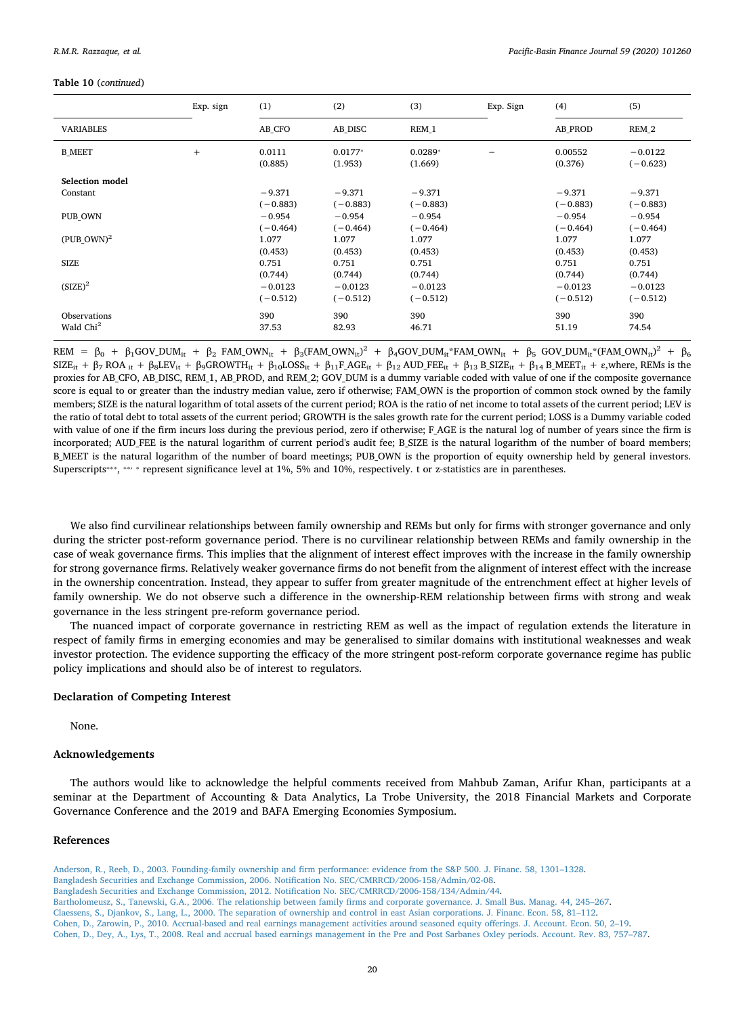# **Table 10** (*continued*)

|                       | Exp. sign | (1)                    | (2)                    | (3)                    | Exp. Sign | (4)                    | (5)                     |
|-----------------------|-----------|------------------------|------------------------|------------------------|-----------|------------------------|-------------------------|
| <b>VARIABLES</b>      |           | AB CFO                 | AB DISC                | REM 1                  |           | <b>AB PROD</b>         | REM 2                   |
| <b>B MEET</b>         | $+$       | 0.0111<br>(0.885)      | $0.0177*$<br>(1.953)   | $0.0289*$<br>(1.669)   |           | 0.00552<br>(0.376)     | $-0.0122$<br>$(-0.623)$ |
| Selection model       |           |                        |                        |                        |           |                        |                         |
| Constant              |           | $-9.371$<br>$(-0.883)$ | $-9.371$<br>$(-0.883)$ | $-9.371$<br>$(-0.883)$ |           | $-9.371$<br>$(-0.883)$ | $-9.371$<br>$(-0.883)$  |
| PUB OWN               |           | $-0.954$               | $-0.954$               | $-0.954$               |           | $-0.954$               | $-0.954$                |
|                       |           | $(-0.464)$             | $(-0.464)$             | $(-0.464)$             |           | $(-0.464)$             | $(-0.464)$              |
| $(PUB\text{ OWN})^2$  |           | 1.077                  | 1.077                  | 1.077                  |           | 1.077                  | 1.077                   |
|                       |           | (0.453)                | (0.453)                | (0.453)                |           | (0.453)                | (0.453)                 |
| <b>SIZE</b>           |           | 0.751                  | 0.751                  | 0.751                  |           | 0.751                  | 0.751                   |
|                       |           | (0.744)                | (0.744)                | (0.744)                |           | (0.744)                | (0.744)                 |
| $(SIZE)^2$            |           | $-0.0123$              | $-0.0123$              | $-0.0123$              |           | $-0.0123$              | $-0.0123$               |
|                       |           | $(-0.512)$             | $(-0.512)$             | $(-0.512)$             |           | $(-0.512)$             | $(-0.512)$              |
| Observations          |           | 390                    | 390                    | 390                    |           | 390                    | 390                     |
| Wald Chi <sup>2</sup> |           | 37.53                  | 82.93                  | 46.71                  |           | 51.19                  | 74.54                   |

 $\begin{array}{lcl} \mathsf{REM} & = & \beta_0 \; + \; \beta_1 \mathsf{GOV}\_ \mathsf{DUM}_{\mathrm{it}} \; + \; \beta_2 \; \mathsf{FAM}\_ \mathsf{OWN}_{\mathrm{it}} \; + \; \beta_3 \mathsf{(FAM}\_ \mathsf{OWN}_{\mathrm{it}})^2 \; + \; \beta_4 \mathsf{GOV}\_ \mathsf{DUM}_{\mathrm{it}} \! \mathsf{FAM}\_ \mathsf{OWN}_{\mathrm{it}} \; + \; \beta_5 \; \mathsf{GOV}\_ \mathsf{DUM}_{\mathrm{it}} \! \mathsf{K} \mathsf{FAM}\_ \mathsf{OWN}_{\mathrm{$  $SIZE_{it} + \beta_7 ROA_{it} + \beta_8 LEV_{it} + \beta_9 GROWTH_{it} + \beta_{10} LOSS_{it} + \beta_{11} F_A GE_{it} + \beta_{12} AUD_FEE_{it} + \beta_{13} B_SIZE_{it} + \beta_{14} B_MEET_{it} + \varepsilon$ , where, REMs is the proxies for AB\_CFO, AB\_DISC, REM\_1, AB\_PROD, and REM\_2; GOV\_DUM is a dummy variable coded with value of one if the composite governance score is equal to or greater than the industry median value, zero if otherwise; FAM\_OWN is the proportion of common stock owned by the family members; SIZE is the natural logarithm of total assets of the current period; ROA is the ratio of net income to total assets of the current period; LEV is the ratio of total debt to total assets of the current period; GROWTH is the sales growth rate for the current period; LOSS is a Dummy variable coded with value of one if the firm incurs loss during the previous period, zero if otherwise; F AGE is the natural log of number of years since the firm is incorporated; AUD FEE is the natural logarithm of current period's audit fee; B SIZE is the natural logarithm of the number of board members; B\_MEET is the natural logarithm of the number of board meetings; PUB\_OWN is the proportion of equity ownership held by general investors. Superscripts<sup>\*\*\*</sup>, \*\*\* \* represent significance level at 1%, 5% and 10%, respectively. t or z-statistics are in parentheses.

We also find curvilinear relationships between family ownership and REMs but only for firms with stronger governance and only during the stricter post-reform governance period. There is no curvilinear relationship between REMs and family ownership in the case of weak governance firms. This implies that the alignment of interest effect improves with the increase in the family ownership for strong governance firms. Relatively weaker governance firms do not benefit from the alignment of interest effect with the increase in the ownership concentration. Instead, they appear to suffer from greater magnitude of the entrenchment effect at higher levels of family ownership. We do not observe such a difference in the ownership-REM relationship between firms with strong and weak governance in the less stringent pre-reform governance period.

The nuanced impact of corporate governance in restricting REM as well as the impact of regulation extends the literature in respect of family firms in emerging economies and may be generalised to similar domains with institutional weaknesses and weak investor protection. The evidence supporting the efficacy of the more stringent post-reform corporate governance regime has public policy implications and should also be of interest to regulators.

# **Declaration of Competing Interest**

None.

# **Acknowledgements**

The authors would like to acknowledge the helpful comments received from Mahbub Zaman, Arifur Khan, participants at a seminar at the Department of Accounting & Data Analytics, La Trobe University, the 2018 Financial Markets and Corporate Governance Conference and the 2019 and BAFA Emerging Economies Symposium.

# **References**

<span id="page-19-3"></span><span id="page-19-2"></span><span id="page-19-1"></span><span id="page-19-0"></span>[Anderson, R., Reeb, D., 2003. Founding-family ownership and firm performance: evidence from the S&P 500. J. Financ. 58, 1301–1328.](http://refhub.elsevier.com/S0927-538X(18)30391-3/rf0005) [Bangladesh Securities and Exchange Commission, 2006. Notification No. SEC/CMRRCD/2006-158/Admin/02-08.](http://refhub.elsevier.com/S0927-538X(18)30391-3/rf0010) [Bangladesh Securities and Exchange Commission, 2012. Notification No. SEC/CMRRCD/2006-158/134/Admin/44](http://refhub.elsevier.com/S0927-538X(18)30391-3/rf0015). [Bartholomeusz, S., Tanewski, G.A., 2006. The relationship between family firms and corporate governance. J. Small Bus. Manag. 44, 245–267](http://refhub.elsevier.com/S0927-538X(18)30391-3/rf0020). [Claessens, S., Djankov, S., Lang, L., 2000. The separation of ownership and control in east Asian corporations. J. Financ. Econ. 58, 81–112](http://refhub.elsevier.com/S0927-538X(18)30391-3/rf0025). [Cohen, D., Zarowin, P., 2010. Accrual-based and real earnings management activities around seasoned equity offerings. J. Account. Econ. 50, 2–19.](http://refhub.elsevier.com/S0927-538X(18)30391-3/rf0030)

<span id="page-19-6"></span><span id="page-19-5"></span><span id="page-19-4"></span>[Cohen, D., Dey, A., Lys, T., 2008. Real and accrual based earnings management in the Pre and Post Sarbanes Oxley periods. Account. Rev. 83, 757–787](http://refhub.elsevier.com/S0927-538X(18)30391-3/rf0035).